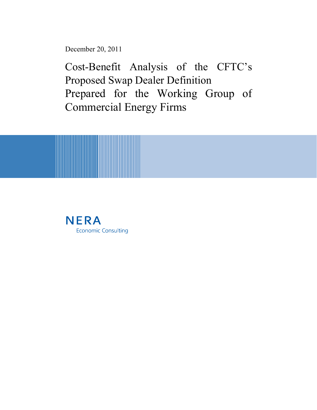December 20, 2011

Cost-Benefit Analysis of the CFTC's Proposed Swap Dealer Definition Prepared for the Working Group of Commercial Energy Firms



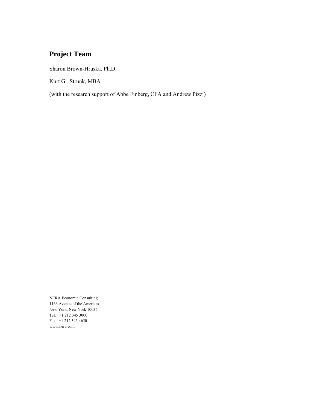# **Project Team**

Sharon Brown-Hruska, Ph.D.

Kurt G. Strunk, MBA

(with the research support of Abbe Finberg, CFA and Andrew Pizzi)

NERA Economic Consulting 1166 Avenue of the Americas New York, New York 10036 Tel: +1 212 345 3000 Fax: +1 212 345 4650 www.nera.com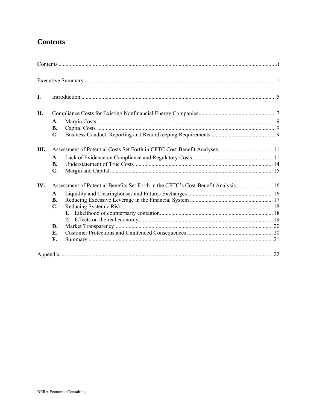# **Contents**

| I.         |                |                                                                                   |  |
|------------|----------------|-----------------------------------------------------------------------------------|--|
| <b>II.</b> |                |                                                                                   |  |
|            | A.             |                                                                                   |  |
|            | <b>B.</b>      |                                                                                   |  |
|            | C.             |                                                                                   |  |
| Ш.         |                |                                                                                   |  |
|            | A.             |                                                                                   |  |
|            | <b>B.</b>      |                                                                                   |  |
|            | $\mathbf{C}$ . |                                                                                   |  |
| IV.        |                | Assessment of Potential Benefits Set Forth in the CFTC's Cost-Benefit Analysis 16 |  |
|            | A.             |                                                                                   |  |
|            | <b>B.</b>      |                                                                                   |  |
|            | C.             |                                                                                   |  |
|            |                |                                                                                   |  |
|            |                |                                                                                   |  |
|            | D.             |                                                                                   |  |
|            | E.             |                                                                                   |  |
|            | F.             |                                                                                   |  |
|            |                |                                                                                   |  |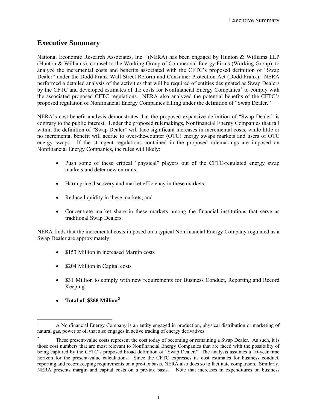# <span id="page-3-0"></span>**Executive Summary**

National Economic Research Associates, Inc. (NERA) has been engaged by Hunton & Williams LLP (Hunton & Williams), counsel to the Working Group of Commercial Energy Firms (Working Group), to analyze the incremental costs and benefits associated with the CFTC's proposed definition of "Swap Dealer" under the Dodd-Frank Wall Street Reform and Consumer Protection Act (Dodd-Frank). NERA performed a detailed analysis of the activities that will be required of entities designated as Swap Dealers by the CFTC and developed estimates of the costs for Nonfinancial Energy Companies<sup>[1](#page-3-1)</sup> to comply with the associated proposed CFTC regulations. NERA also analyzed the potential benefits of the CFTC's proposed regulation of Nonfinancial Energy Companies falling under the definition of "Swap Dealer."

NERA's cost-benefit analysis demonstrates that the proposed expansive definition of "Swap Dealer" is contrary to the public interest. Under the proposed rulemakings, Nonfinancial Energy Companies that fall within the definition of "Swap Dealer" will face significant increases in incremental costs, while little or no incremental benefit will accrue to over-the-counter (OTC) energy swaps markets and users of OTC energy swaps. If the stringent regulations contained in the proposed rulemakings are imposed on Nonfinancial Energy Companies, the rules will likely:

- Push some of these critical "physical" players out of the CFTC-regulated energy swap markets and deter new entrants;
- Harm price discovery and market efficiency in these markets;
- Reduce liquidity in these markets; and
- Concentrate market share in these markets among the financial institutions that serve as traditional Swap Dealers.

NERA finds that the incremental costs imposed on a typical Nonfinancial Energy Company regulated as a Swap Dealer are approximately:

- \$153 Million in increased Margin costs
- \$204 Million in Capital costs
- \$31 Million to comply with new requirements for Business Conduct, Reporting and Record Keeping
- **Total of \$388 Million[2](#page-3-2)**

<span id="page-3-1"></span><sup>1</sup> 1 A Nonfinancial Energy Company is an entity engaged in production, physical distribution or marketing of natural gas, power or oil that also engages in active trading of energy derivatives.

<span id="page-3-2"></span><sup>2</sup> These present-value costs represent the cost today of becoming or remaining a Swap Dealer. As such, it is those cost numbers that are most relevant to Nonfinancial Energy Companies that are faced with the possibility of being captured by the CFTC's proposed broad definition of "Swap Dealer." The analysis assumes a 10-year time horizon for the present-value calculations. Since the CFTC expresses its cost estimates for business conduct, reporting and recordkeeping requirements on a pre-tax basis, NERA also does so to facilitate comparison. Similarly, NERA presents margin and capital costs on a pre-tax basis. Note that increases in expenditures on business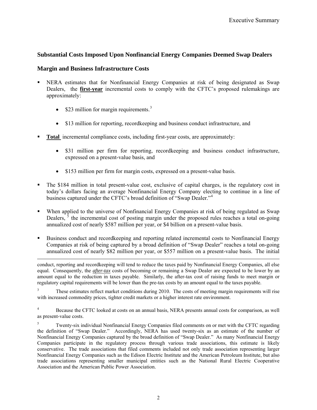## **Substantial Costs Imposed Upon Nonfinancial Energy Companies Deemed Swap Dealers**

### **Margin and Business Infrastructure Costs**

- NERA estimates that for Nonfinancial Energy Companies at risk of being designated as Swap Dealers, the **first-year** incremental costs to comply with the CFTC's proposed rulemakings are approximately:
	- $$23$  $$23$  million for margin requirements.<sup>3</sup>
	- \$13 million for reporting, recordkeeping and business conduct infrastructure, and
- **Total** incremental compliance costs, including first-year costs, are approximately:
	- \$31 million per firm for reporting, recordkeeping and business conduct infrastructure, expressed on a present-value basis, and
	- \$153 million per firm for margin costs, expressed on a present-value basis.
- The \$184 million in total present-value cost, exclusive of capital charges, is the regulatory cost in today's dollars facing an average Nonfinancial Energy Company electing to continue in a line of business captured under the CFTC's broad definition of "Swap Dealer."<sup>[4](#page-4-1)</sup>
- When applied to the universe of Nonfinancial Energy Companies at risk of being regulated as Swap Dealers,  $\delta$  the incremental cost of posting margin under the proposed rules reaches a total on-going annualized cost of nearly \$587 million per year, or \$4 billion on a present-value basis.
- Business conduct and recordkeeping and reporting related incremental costs to Nonfinancial Energy Companies at risk of being captured by a broad definition of "Swap Dealer" reaches a total on-going annualized cost of nearly \$82 million per year, or \$557 million on a present-value basis. The initial

 $\overline{\phantom{a}}$ conduct, reporting and recordkeeping will tend to reduce the taxes paid by Nonfinancial Energy Companies, all else equal. Consequently, the *after-tax* costs of becoming or remaining a Swap Dealer are expected to be lower by an amount equal to the reduction in taxes payable. Similarly, the after-tax cost of raising funds to meet margin or regulatory capital requirements will be lower than the pre-tax costs by an amount equal to the taxes payable.

<span id="page-4-0"></span>3 These estimates reflect market conditions during 2010. The costs of meeting margin requirements will rise with increased commodity prices, tighter credit markets or a higher interest rate environment.

<span id="page-4-1"></span>4 Because the CFTC looked at costs on an annual basis, NERA presents annual costs for comparison, as well as present-value costs.

<span id="page-4-2"></span>5 Twenty-six individual Nonfinancial Energy Companies filed comments on or met with the CFTC regarding the definition of "Swap Dealer." Accordingly, NERA has used twenty-six as an estimate of the number of Nonfinancial Energy Companies captured by the broad definition of "Swap Dealer." As many Nonfinancial Energy Companies participate in the regulatory process through various trade associations, this estimate is likely conservative. The trade associations that filed comments included not only trade association representing larger Nonfinancial Energy Companies such as the Edison Electric Institute and the American Petroleum Institute, but also trade associations representing smaller municipal entities such as the National Rural Electric Cooperative Association and the American Public Power Association.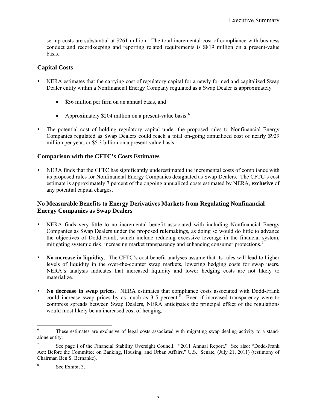set-up costs are substantial at \$261 million. The total incremental cost of compliance with business conduct and recordkeeping and reporting related requirements is \$819 million on a present-value basis.

## **Capital Costs**

- NERA estimates that the carrying cost of regulatory capital for a newly formed and capitalized Swap Dealer entity within a Nonfinancial Energy Company regulated as a Swap Dealer is approximately
	- \$36 million per firm on an annual basis, and
	- Approximately \$204 million on a present-value basis. $<sup>6</sup>$  $<sup>6</sup>$  $<sup>6</sup>$ </sup>
- The potential cost of holding regulatory capital under the proposed rules to Nonfinancial Energy Companies regulated as Swap Dealers could reach a total on-going annualized cost of nearly \$929 million per year, or \$5.3 billion on a present-value basis.

## **Comparison with the CFTC's Costs Estimates**

 NERA finds that the CFTC has significantly underestimated the incremental costs of compliance with its proposed rules for Nonfinancial Energy Companies designated as Swap Dealers. The CFTC's cost estimate is approximately 7 percent of the ongoing annualized costs estimated by NERA, **exclusive** of any potential capital charges.

## **No Measurable Benefits to Energy Derivatives Markets from Regulating Nonfinancial Energy Companies as Swap Dealers**

- NERA finds very little to no incremental benefit associated with including Nonfinancial Energy Companies as Swap Dealers under the proposed rulemakings, as doing so would do little to advance the objectives of Dodd-Frank, which include reducing excessive leverage in the financial system, mitigating systemic risk, increasing market transparency and enhancing consumer protections.<sup>[7](#page-5-1)</sup>
- **No increase in liquidity**. The CFTC's cost benefit analyses assume that its rules will lead to higher levels of liquidity in the over-the-counter swap markets, lowering hedging costs for swap users. NERA's analysis indicates that increased liquidity and lower hedging costs are not likely to materialize.
- **No decrease in swap prices**. NERA estimates that compliance costs associated with Dodd-Frank could increase swap prices by as much as  $3-5$  percent.<sup>[8](#page-5-2)</sup> Even if increased transparency were to compress spreads between Swap Dealers, NERA anticipates the principal effect of the regulations would most likely be an increased cost of hedging.

<span id="page-5-0"></span> 6 These estimates are exclusive of legal costs associated with migrating swap dealing activity to a standalone entity.

<span id="page-5-1"></span><sup>7</sup> See page i of the Financial Stability Oversight Council. "2011 Annual Report." See also: "Dodd-Frank Act: Before the Committee on Banking, Housing, and Urban Affairs," U.S. Senate, (July 21, 2011) (testimony of Chairman Ben S. Bernanke).

<span id="page-5-2"></span><sup>8</sup> See Exhibit 3.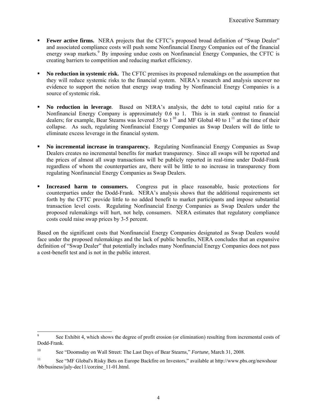- Fewer active firms. NERA projects that the CFTC's proposed broad definition of "Swap Dealer" and associated compliance costs will push some Nonfinancial Energy Companies out of the financial energy swap markets.<sup>[9](#page-6-0)</sup> By imposing undue costs on Nonfinancial Energy Companies, the CFTC is creating barriers to competition and reducing market efficiency.
- **No reduction in systemic risk.** The CFTC premises its proposed rulemakings on the assumption that they will reduce systemic risks to the financial system. NERA's research and analysis uncover no evidence to support the notion that energy swap trading by Nonfinancial Energy Companies is a source of systemic risk.
- **No reduction in leverage***.* Based on NERA's analysis, the debt to total capital ratio for a Nonfinancial Energy Company is approximately 0.6 to 1. This is in stark contrast to financial dealers; for example, Bear Stearns was levered 35 to  $1^{10}$  $1^{10}$  $1^{10}$  and MF Global 40 to  $1^{11}$  $1^{11}$  $1^{11}$  at the time of their collapse. As such, regulating Nonfinancial Energy Companies as Swap Dealers will do little to eliminate excess leverage in the financial system.
- **No incremental increase in transparency.** Regulating Nonfinancial Energy Companies as Swap Dealers creates no incremental benefits for market transparency.Since all swaps will be reported and the prices of almost all swap transactions will be publicly reported in real-time under Dodd-Frank regardless of whom the counterparties are, there will be little to no increase in transparency from regulating Nonfinancial Energy Companies as Swap Dealers.
- **Increased harm to consumers.** Congress put in place reasonable, basic protections for counterparties under the Dodd-Frank. NERA's analysis shows that the additional requirements set forth by the CFTC provide little to no added benefit to market participants and impose substantial transaction level costs. Regulating Nonfinancial Energy Companies as Swap Dealers under the proposed rulemakings will hurt, not help, consumers. NERA estimates that regulatory compliance costs could raise swap prices by 3-5 percent.

Based on the significant costs that Nonfinancial Energy Companies designated as Swap Dealers would face under the proposed rulemakings and the lack of public benefits, NERA concludes that an expansive definition of "Swap Dealer" that potentially includes many Nonfinancial Energy Companies does not pass a cost-benefit test and is not in the public interest.

l

<span id="page-6-0"></span><sup>9</sup> See Exhibit 4, which shows the degree of profit erosion (or elimination) resulting from incremental costs of Dodd-Frank.

<span id="page-6-1"></span><sup>10</sup> See "Doomsday on Wall Street: The Last Days of Bear Stearns," *Fortune,* March 31, 2008.

<span id="page-6-2"></span><sup>11</sup> See "MF Global's Risky Bets on Europe Backfire on Investors," available at http://www.pbs.org/newshour /bb/business/july-dec11/corzine\_11-01.html.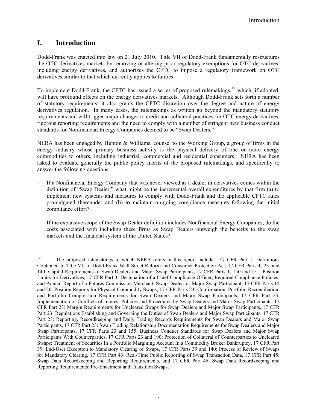# <span id="page-7-0"></span>**I. Introduction**

Dodd-Frank was enacted into law on 21 July 2010. Title VII of Dodd-Frank fundamentally restructures the OTC derivatives markets by removing or altering prior regulatory exemptions for OTC derivatives, including energy derivatives, and authorizes the CFTC to impose a regulatory framework on OTC derivatives similar to that which currently applies to futures.

To implement Dodd-Frank, the CFTC has issued a series of proposed rulemakings,<sup>[12](#page-7-1)</sup> which, if adopted, will have profound effects on the energy derivatives markets. Although Dodd-Frank sets forth a number of statutory requirements, it also grants the CFTC discretion over the degree and nature of energy derivatives regulation. In many cases, the rulemakings as written go beyond the mandatory statutory requirements and will trigger major changes to credit and collateral practices for OTC energy derivatives, rigorous reporting requirements and the need to comply with a number of stringent new business conduct standards for Nonfinancial Energy Companies deemed to be "Swap Dealers."

NERA has been engaged by Hunton & Williams, counsel to the Working Group, a group of firms in the energy industry whose primary business activity is the physical delivery of one or more energy commodities to others, including industrial, commercial and residential consumers. NERA has been asked to evaluate generally the public policy merits of the proposed rulemakings, and specifically to answer the following questions:

- If a Nonfinancial Energy Company that was never viewed as a dealer in derivatives comes within the definition of "Swap Dealer," what might be the incremental overall expenditures by that firm (a) to implement new systems and measures to comply with Dodd-Frank and the applicable CFTC rules promulgated thereunder and (b) to maintain on-going compliance measures following the initial compliance effort?
- If the expansive scope of the Swap Dealer definition includes Nonfinancial Energy Companies, do the costs associated with including these firms as Swap Dealers outweigh the benefits to the swap markets and the financial system of the United States?

<span id="page-7-1"></span> $12$ 12 The proposed rulemakings to which NERA refers in this report include: 17 CFR Part 1: Definitions Contained In Title VII of Dodd-Frank Wall Street Reform and Consumer Protection Act, 17 CFR Parts 1, 23, and 140: Capital Requirements of Swap Dealers and Major Swap Participants, 17 CFR Parts 1, 150 and 151: Position Limits for Derivatives, 17 CFR Part 3: Designation of a Chief Compliance Officer; Required Compliance Policies; and Annual Report of a Futures Commission Merchant, Swap Dealer, or Major Swap Participant, 17 CFR Parts 15 and 20: Position Reports for Physical Commodity Swaps, 17 CFR Parts 23: Confirmation, Portfolio Reconciliation, and Portfolio Compression Requirements for Swap Dealers and Major Swap Participants, 17 CFR Part 23: Implementation of Conflicts of Interest Policies and Procedures by Swap Dealers and Major Swap Participants, 17 CFR Part 23: Margin Requirements for Uncleared Swaps for Swap Dealers and Major Swap Participants, 17 CFR Part 23: Regulations Establishing and Governing the Duties of Swap Dealers and Major Swap Participants, 17 CFR Part 23: Reporting, Recordkeeping and Daily Trading Records Requirements for Swap Dealers and Major Swap Participants, 17 CFR Part 23: Swap Trading Relationship Documentation Requirements for Swap Dealers and Major Swap Participants, 17 CFR Parts 23 and 155: Business Conduct Standards for Swap Dealers and Major Swap Participants With Counterparties, 17 CFR Parts 23 and 190: Protection of Collateral of Counterparties to Uncleared Swaps; Treatment of Securities In a Portfolio Margining Account In a Commodity Broker Bankruptcy, 17 CFR Part 39: End-User Exception to Mandatory Clearing of Swaps, 17 CFR Parts 39 and 140: Process of Review of Swaps for Mandatory Clearing, 17 CFR Part 43: Real-Time Public Reporting of Swap Transaction Data, 17 CFR Part 45: Swap Data Recordkeeping and Reporting Requirements, and 17 CFR Part 46: Swap Data Recordkeeping and Reporting Requirements: Pre-Enactment and Transition Swaps.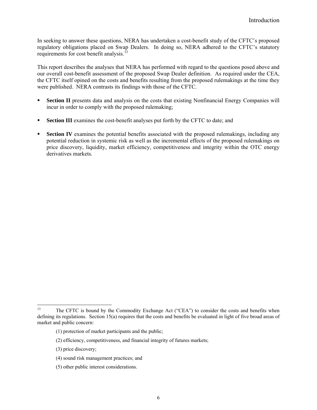In seeking to answer these questions, NERA has undertaken a cost-benefit study of the CFTC's proposed regulatory obligations placed on Swap Dealers. In doing so, NERA adhered to the CFTC's statutory requirements for cost benefit analysis.<sup>[13](#page-8-0)</sup>

This report describes the analyses that NERA has performed with regard to the questions posed above and our overall cost-benefit assessment of the proposed Swap Dealer definition. As required under the CEA, the CFTC itself opined on the costs and benefits resulting from the proposed rulemakings at the time they were published. NERA contrasts its findings with those of the CFTC.

- **Section II** presents data and analysis on the costs that existing Nonfinancial Energy Companies will incur in order to comply with the proposed rulemaking;
- **Section III** examines the cost-benefit analyses put forth by the CFTC to date; and
- **Section IV** examines the potential benefits associated with the proposed rulemakings, including any potential reduction in systemic risk as well as the incremental effects of the proposed rulemakings on price discovery, liquidity, market efficiency, competitiveness and integrity within the OTC energy derivatives markets.

<span id="page-8-0"></span> $13$ 13 The CFTC is bound by the Commodity Exchange Act ("CEA") to consider the costs and benefits when defining its regulations. Section 15(a) requires that the costs and benefits be evaluated in light of five broad areas of market and public concern:

<sup>(1)</sup> protection of market participants and the public;

<sup>(2)</sup> efficiency, competitiveness, and financial integrity of futures markets;

<sup>(3)</sup> price discovery;

<sup>(4)</sup> sound risk management practices; and

<sup>(5)</sup> other public interest considerations.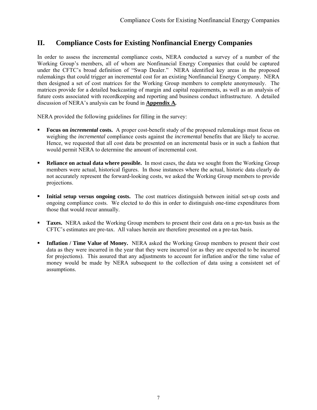# <span id="page-9-0"></span>**II. Compliance Costs for Existing Nonfinancial Energy Companies**

In order to assess the incremental compliance costs, NERA conducted a survey of a number of the Working Group's members, all of whom are Nonfinancial Energy Companies that could be captured under the CFTC's broad definition of "Swap Dealer." NERA identified key areas in the proposed rulemakings that could trigger an incremental cost for an existing Nonfinancial Energy Company. NERA then designed a set of cost matrices for the Working Group members to complete anonymously. The matrices provide for a detailed backcasting of margin and capital requirements, as well as an analysis of future costs associated with recordkeeping and reporting and business conduct infrastructure. A detailed discussion of NERA's analysis can be found in **Appendix A***.*

NERA provided the following guidelines for filling in the survey:

- **Focus on** *incremental* **costs.** A proper cost-benefit study of the proposed rulemakings must focus on weighing the *incremental* compliance costs against the *incremental* benefits that are likely to accrue. Hence, we requested that all cost data be presented on an incremental basis or in such a fashion that would permit NERA to determine the amount of incremental cost.
- **Reliance on actual data where possible.** In most cases, the data we sought from the Working Group members were actual, historical figures. In those instances where the actual, historic data clearly do not accurately represent the forward-looking costs, we asked the Working Group members to provide projections.
- **Initial setup versus ongoing costs.** The cost matrices distinguish between initial set-up costs and ongoing compliance costs. We elected to do this in order to distinguish one-time expenditures from those that would recur annually.
- **Taxes.** NERA asked the Working Group members to present their cost data on a pre-tax basis as the CFTC's estimates are pre-tax. All values herein are therefore presented on a pre-tax basis.
- **Inflation / Time Value of Money.** NERA asked the Working Group members to present their cost data as they were incurred in the year that they were incurred (or as they are expected to be incurred for projections). This assured that any adjustments to account for inflation and/or the time value of money would be made by NERA subsequent to the collection of data using a consistent set of assumptions.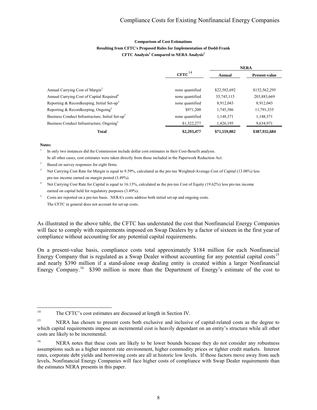### **Comparison of Cost Estimations Resulting from CFTC's Proposed Rules for Implementation of Dodd-Frank CFTC Analysis<sup>1</sup> Compared to NERA Analysis<sup>2</sup>**

|                                                              |                      |              | <b>NERA</b>          |
|--------------------------------------------------------------|----------------------|--------------|----------------------|
|                                                              | $CFTC$ <sup>14</sup> | Annual       | <b>Present-value</b> |
|                                                              |                      |              |                      |
| Annual Carrying Cost of Margin <sup>3</sup>                  | none quantified      | \$22,582,692 | \$152,562,295        |
| Annual Carrying Cost of Capital Required <sup>4</sup>        | none quantified      | 35,745,115   | 203,883,669          |
| Reporting & Recordkeeping, Initial Set-up <sup>5</sup>       | none quantified      | 8,912,043    | 8,912,043            |
| Reporting & Recordkeeping, Ongoing <sup>5</sup>              | \$971,200            | 1,745,386    | 11,791,335           |
| Business Conduct Infrastructure, Initial Set-up <sup>5</sup> | none quantified      | 1,148,371    | 1,148,371            |
| Business Conduct Infrastructure, Ongoing <sup>5</sup>        | \$1,322,277          | 1,426,195    | 9,634,971            |
| <b>Total</b>                                                 | \$2,293,477          | \$71,559,802 | \$387,932,684        |

#### **Notes:**

<sup>1</sup> In only two instances did the Commission include dollar cost estimates in their Cost-Benefit analysis. In all other cases, cost estimates were taken directly from those included in the Paperwork Reduction Act.

<sup>2</sup> Based on survey responses for eight firms.

<sup>3</sup> Net Carrying Cost Rate for Margin is equal to 9.59%, calculated as the pre-tax Weighted-Average Cost of Capital (13.08%) less pre-tax income earned on margin posted (3.49%).

Net Carrying Cost Rate for Capital is equal to 16.13%, calculated as the pre-tax Cost of Equity (19.62%) less pre-tax income earned on capital held for regulatory purposes (3.49%).

<sup>5</sup> Costs are reported on a pre-tax basis. NERA's costs address both initial set-up and ongoing costs. The CFTC in general does not account for set-up costs.

As illustrated in the above table, the CFTC has understated the cost that Nonfinancial Energy Companies will face to comply with requirements imposed on Swap Dealers by a factor of sixteen in the first year of compliance without accounting for any potential capital requirements.

On a present-value basis, compliance costs total approximately \$184 million for each Nonfinancial Energy Company that is regulated as a Swap Dealer without accounting for any potential capital costs<sup>[15](#page-10-1)</sup> and nearly \$390 million if a stand-alone swap dealing entity is created within a larger Nonfinancial Energy Company.<sup>[16](#page-10-2)</sup> \$390 million is more than the Department of Energy's estimate of the cost to

<span id="page-10-0"></span> $14$ The CFTC's cost estimates are discussed at length in Section IV.

<span id="page-10-1"></span><sup>&</sup>lt;sup>15</sup> NERA has chosen to present costs both exclusive and inclusive of capital-related costs as the degree to which capital requirements impose an incremental cost is heavily dependant on an entity's structure while all other costs are likely to be incremental.

<span id="page-10-2"></span><sup>&</sup>lt;sup>16</sup> NERA notes that these costs are likely to be lower bounds because they do not consider any robustness assumptions such as a higher interest rate environment, higher commodity prices or tighter credit markets. Interest rates, corporate debt yields and borrowing costs are all at historic low levels. If those factors move away from such levels, Nonfinancial Energy Companies will face higher costs of compliance with Swap Dealer requirements than the estimates NERA presents in this paper.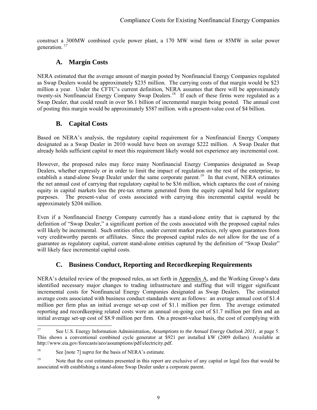<span id="page-11-0"></span>construct a 300MW combined cycle power plant, a 170 MW wind farm or 85MW in solar power generation.<sup>[17](#page-11-1)</sup>

# **A. Margin Costs**

NERA estimated that the average amount of margin posted by Nonfinancial Energy Companies regulated as Swap Dealers would be approximately \$235 million. The carrying costs of that margin would be \$23 million a year. Under the CFTC's current definition, NERA assumes that there will be approximately twenty-six Nonfinancial Energy Company Swap Dealers.<sup>[18](#page-11-2)</sup> If each of these firms were regulated as a Swap Dealer, that could result in over \$6.1 billion of incremental margin being posted. The annual cost of posting this margin would be approximately \$587 million. with a present-value cost of \$4 billion.

# **B. Capital Costs**

Based on NERA's analysis, the regulatory capital requirement for a Nonfinancial Energy Company designated as a Swap Dealer in 2010 would have been on average \$222 million. A Swap Dealer that already holds sufficient capital to meet this requirement likely would not experience any incremental cost.

However, the proposed rules may force many Nonfinancial Energy Companies designated as Swap Dealers, whether expressly or in order to limit the impact of regulation on the rest of the enterprise, to establish a stand-alone Swap Dealer under the same corporate parent.<sup>[19](#page-11-3)</sup> In that event, NERA estimates the net annual cost of carrying that regulatory capital to be \$36 million, which captures the cost of raising equity in capital markets less the pre-tax returns generated from the equity capital held for regulatory purposes. The present-value of costs associated with carrying this incremental capital would be approximately \$204 million.

Even if a Nonfinancial Energy Company currently has a stand-alone entity that is captured by the definition of "Swap Dealer," a significant portion of the costs associated with the proposed capital rules will likely be incremental. Such entities often, under current market practices, rely upon guarantees from very creditworthy parents or affiliates. Since the proposed capital rules do not allow for the use of a guarantee as regulatory capital, current stand-alone entities captured by the definition of "Swap Dealer" will likely face incremental capital costs.

# **C. Business Conduct, Reporting and Recordkeeping Requirements**

NERA's detailed review of the proposed rules, as set forth in Appendix A, and the Working Group's data identified necessary major changes to trading infrastructure and staffing that will trigger significant incremental costs for Nonfinancial Energy Companies designated as Swap Dealers. The estimated average costs associated with business conduct standards were as follows: an average annual cost of \$1.4 million per firm plus an initial average set-up cost of \$1.1 million per firm. The average estimated reporting and recordkeeping related costs were an annual on-going cost of \$1.7 million per firm and an initial average set-up cost of \$8.9 million per firm. On a present-value basis, the cost of complying with

<span id="page-11-1"></span><sup>17</sup> 17 See U.S. Energy Information Administration, *Assumptions to the Annual Energy Outlook 2011*, at page 5. This shows a conventional combined cycle generator at \$921 per installed kW (2009 dollars). Available at <http://www.eia.gov/forecasts/aeo/assumptions/pdf/electricity.pdf>.

<span id="page-11-2"></span><sup>18</sup> See [note 7] *supra* for the basis of NERA's estimate.

<span id="page-11-3"></span><sup>&</sup>lt;sup>19</sup> Note that the cost estimates presented in this report are exclusive of any capital or legal fees that would be associated with establishing a stand-alone Swap Dealer under a corporate parent.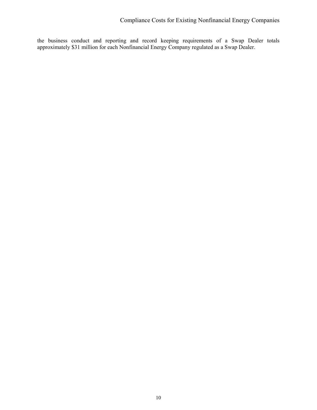the business conduct and reporting and record keeping requirements of a Swap Dealer totals approximately \$31 million for each Nonfinancial Energy Company regulated as a Swap Dealer.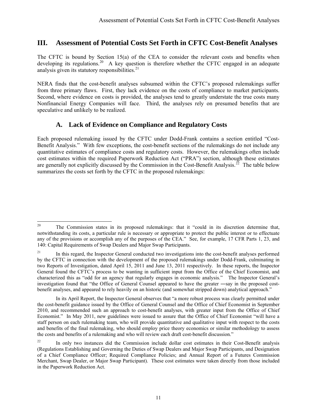# <span id="page-13-0"></span>**III. Assessment of Potential Costs Set Forth in CFTC Cost-Benefit Analyses**

The CFTC is bound by Section 15(a) of the CEA to consider the relevant costs and benefits when developing its regulations.<sup>[20](#page-13-1)</sup> A key question is therefore whether the CFTC engaged in an adequate analysis given its statutory responsibilities.<sup>[21](#page-13-2)</sup>

NERA finds that the cost-benefit analyses subsumed within the CFTC's proposed rulemakings suffer from three primary flaws. First, they lack evidence on the costs of compliance to market participants. Second, where evidence on costs is provided, the analyses tend to greatly understate the true costs many Nonfinancial Energy Companies will face. Third, the analyses rely on presumed benefits that are speculative and unlikely to be realized.

# **A. Lack of Evidence on Compliance and Regulatory Costs**

Each proposed rulemaking issued by the CFTC under Dodd-Frank contains a section entitled "Cost-Benefit Analysis." With few exceptions, the cost-benefit sections of the rulemakings do not include any quantitative estimates of compliance costs and regulatory costs. However, the rulemakings often include cost estimates within the required Paperwork Reduction Act ("PRA") section, although these estimates are generally not explicitly discussed by the Commission in the Cost-Benefit Analysis.<sup>[22](#page-13-3)</sup> The table below summarizes the costs set forth by the CFTC in the proposed rulemakings:

<span id="page-13-1"></span> $20\,$ 20 The Commission states in its proposed rulemakings: that it "could in its discretion determine that, notwithstanding its costs, a particular rule is necessary or appropriate to protect the public interest or to effectuate any of the provisions or accomplish any of the purposes of the CEA." See, for example, 17 CFR Parts 1, 23, and 140: Capital Requirements of Swap Dealers and Major Swap Participants.

<span id="page-13-2"></span><sup>&</sup>lt;sup>21</sup> In this regard, the Inspector General conducted two investigations into the cost-benefit analyses performed by the CFTC in connection with the development of the proposed rulemakings under Dodd-Frank, culminating in two Reports of Investigation, dated April 15, 2011 and June 13, 2011 respectively. In these reports, the Inspector General found the CFTC's process to be wanting in sufficient input from the Office of the Chief Economist, and characterized this as "odd for an agency that regularly engages in economic analysis." The Inspector General's investigation found that "the Office of General Counsel appeared to have the greater ―say in the proposed costbenefit analyses, and appeared to rely heavily on an historic (and somewhat stripped down) analytical approach."

In its April Report, the Inspector General observes that "a more robust process was clearly permitted under the cost-benefit guidance issued by the Office of General Counsel and the Office of Chief Economist in September 2010, and recommended such an approach to cost-benefit analyses, with greater input from the Office of Chief Economist." In May 2011, new guidelines were issued to assure that the Office of Chief Economist "will have a staff person on each rulemaking team, who will provide quantitative and qualitative input with respect to the costs and benefits of the final rulemaking, who should employ price theory economics or similar methodology to assess the costs and benefits of a rulemaking and who will review each draft cost-benefit discussion."

<span id="page-13-3"></span> $22$  In only two instances did the Commission include dollar cost estimates in their Cost-Benefit analysis (Regulations Establishing and Governing the Duties of Swap Dealers and Major Swap Participants, and Designation of a Chief Compliance Officer; Required Compliance Policies; and Annual Report of a Futures Commission Merchant, Swap Dealer, or Major Swap Participant). These cost estimates were taken directly from those included in the Paperwork Reduction Act.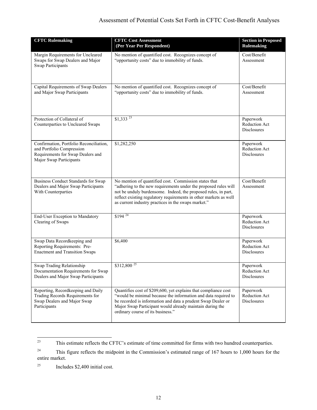## Assessment of Potential Costs Set Forth in CFTC Cost-Benefit Analyses

| <b>CFTC Rulemaking</b>                                                                                                               | <b>CFTC Cost Assessment</b><br>(Per Year Per Respondent)                                                                                                                                                                                                                                                               | <b>Section in Proposed</b><br><b>Rulemaking</b>  |
|--------------------------------------------------------------------------------------------------------------------------------------|------------------------------------------------------------------------------------------------------------------------------------------------------------------------------------------------------------------------------------------------------------------------------------------------------------------------|--------------------------------------------------|
| Margin Requirements for Uncleared<br>Swaps for Swap Dealers and Major<br><b>Swap Participants</b>                                    | No mention of quantified cost. Recognizes concept of<br>"opportunity costs" due to immobility of funds.                                                                                                                                                                                                                | Cost/Benefit<br>Assessment                       |
| Capital Requirements of Swap Dealers<br>and Major Swap Participants                                                                  | No mention of quantified cost. Recognizes concept of<br>"opportunity costs" due to immobility of funds.                                                                                                                                                                                                                | Cost/Benefit<br>Assessment                       |
| Protection of Collateral of<br>Counterparties to Uncleared Swaps                                                                     | $$1,333$ <sup>23</sup>                                                                                                                                                                                                                                                                                                 | Paperwork<br>Reduction Act<br><b>Disclosures</b> |
| Confirmation, Portfolio Reconciliation,<br>and Portfolio Compression<br>Requirements for Swap Dealers and<br>Major Swap Participants | \$1,282,250                                                                                                                                                                                                                                                                                                            | Paperwork<br>Reduction Act<br><b>Disclosures</b> |
| <b>Business Conduct Standards for Swap</b><br>Dealers and Major Swap Participants<br>With Counterparties                             | No mention of quantified cost. Commission states that<br>"adhering to the new requirements under the proposed rules will<br>not be unduly burdensome. Indeed, the proposed rules, in part,<br>reflect existing regulatory requirements in other markets as well<br>as current industry practices in the swaps market." | Cost/Benefit<br>Assessment                       |
| End-User Exception to Mandatory<br>Clearing of Swaps                                                                                 | $$194$ <sup>24</sup>                                                                                                                                                                                                                                                                                                   | Paperwork<br><b>Reduction Act</b><br>Disclosures |
| Swap Data Recordkeeping and<br>Reporting Requirements: Pre-<br><b>Enactment and Transition Swaps</b>                                 | \$6,400                                                                                                                                                                                                                                                                                                                | Paperwork<br><b>Reduction Act</b><br>Disclosures |
| Swap Trading Relationship<br>Documentation Requirements for Swap<br>Dealers and Major Swap Participants                              | $$312,800^{25}$                                                                                                                                                                                                                                                                                                        | Paperwork<br>Reduction Act<br><b>Disclosures</b> |
| Reporting, Recordkeeping and Daily<br>Trading Records Requirements for<br>Swap Dealers and Major Swap<br>Participants                | Quantifies cost of \$209,600, yet explains that compliance cost<br>"would be minimal because the information and data required to<br>be recorded is information and data a prudent Swap Dealer or<br>Major Swap Participant would already maintain during the<br>ordinary course of its business."                     | Paperwork<br>Reduction Act<br><b>Disclosures</b> |

<span id="page-14-0"></span> $23$ This estimate reflects the CFTC's estimate of time committed for firms with two hundred counterparties.

<span id="page-14-1"></span><sup>&</sup>lt;sup>24</sup> This figure reflects the midpoint in the Commission's estimated range of 167 hours to 1,000 hours for the entire market.

<span id="page-14-2"></span><sup>&</sup>lt;sup>25</sup> Includes  $$2,400$  initial cost.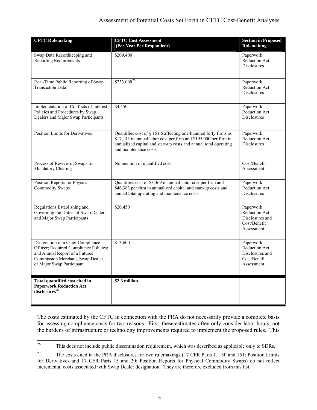## Assessment of Potential Costs Set Forth in CFTC Cost-Benefit Analyses

| <b>CFTC Rulemaking</b>                                                                                                                                                          | <b>CFTC Cost Assessment</b><br>(Per Year Per Respondent)                                                                                                                                                                          | <b>Section in Proposed</b><br><b>Rulemaking</b>                             |
|---------------------------------------------------------------------------------------------------------------------------------------------------------------------------------|-----------------------------------------------------------------------------------------------------------------------------------------------------------------------------------------------------------------------------------|-----------------------------------------------------------------------------|
| Swap Data Recordkeeping and<br><b>Reporting Requirements</b>                                                                                                                    | \$209,400                                                                                                                                                                                                                         | Paperwork<br>Reduction Act<br><b>Disclosures</b>                            |
| Real-Time Public Reporting of Swap<br><b>Transaction Data</b>                                                                                                                   | $$233,000^{26}$                                                                                                                                                                                                                   | Paperwork<br>Reduction Act<br><b>Disclosures</b>                            |
| Implementation of Conflicts of Interest<br>Policies and Procedures by Swap<br>Dealers and Major Swap Participants                                                               | \$4,450                                                                                                                                                                                                                           | Paperwork<br>Reduction Act<br><b>Disclosures</b>                            |
| <b>Position Limits for Derivatives</b>                                                                                                                                          | Quantifies cost of § 151.6 affecting one-hundred forty firms as<br>\$17,143 in annual labor cost per firm and \$195,000 per firm in<br>annualized capital and start-up costs and annual total operating<br>and maintenance costs. | Paperwork<br>Reduction Act<br><b>Disclosures</b>                            |
| Process of Review of Swaps for<br>Mandatory Clearing                                                                                                                            | No mention of quantified cost.                                                                                                                                                                                                    | Cost/Benefit<br>Assessment                                                  |
| Position Reports for Physical<br><b>Commodity Swaps</b>                                                                                                                         | Quantifies cost of \$8,369 in annual labor cost per firm and<br>\$46,383 per firm in annualized capital and start-up costs and<br>annual total operating and maintenance costs.                                                   | Paperwork<br><b>Reduction Act</b><br><b>Disclosures</b>                     |
| Regulations Establishing and<br>Governing the Duties of Swap Dealers<br>and Major Swap Participants                                                                             | \$20,450                                                                                                                                                                                                                          | Paperwork<br>Reduction Act<br>Disclosures and<br>Cost/Benefit<br>Assessment |
| Designation of a Chief Compliance<br>Officer; Required Compliance Policies;<br>and Annual Report of a Futures<br>Commission Merchant, Swap Dealer,<br>or Major Swap Participant | \$13,600                                                                                                                                                                                                                          | Paperwork<br>Reduction Act<br>Disclosures and<br>Cost/Benefit<br>Assessment |
| Total quantified cost cited in<br><b>Paperwork Reduction Act</b><br>disclosures <sup>27</sup>                                                                                   | \$2.3 million.                                                                                                                                                                                                                    |                                                                             |

The costs estimated by the CFTC in connection with the PRA do not necessarily provide a complete basis for assessing compliance costs for two reasons. First, these estimates often only consider labor hours, not the burdens of infrastructure or technology improvements required to implement the proposed rules. This

<span id="page-15-0"></span><sup>26</sup> 26 This does not include public dissemination requirement, which was described as applicable only to SDRs.

<span id="page-15-1"></span><sup>&</sup>lt;sup>27</sup> The costs cited in the PRA disclosures for two rulemakings (17 CFR Parts 1, 150 and 151: Position Limits for Derivatives and 17 CFR Parts 15 and 20: Position Reports for Physical Commodity Swaps) do not reflect incremental costs associated with Swap Dealer designation. They are therefore excluded from this list.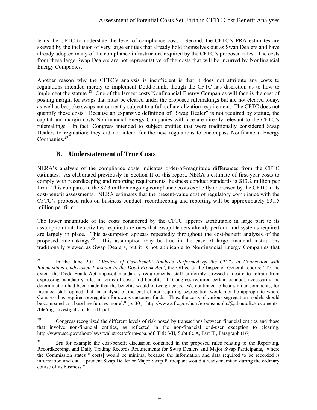## Assessment of Potential Costs Set Forth in CFTC Cost-Benefit Analyses

<span id="page-16-0"></span>leads the CFTC to understate the level of compliance cost. Second, the CFTC's PRA estimates are skewed by the inclusion of very large entities that already hold themselves out as Swap Dealers and have already adopted many of the compliance infrastructure required by the CFTC's proposed rules. The costs from these large Swap Dealers are not representative of the costs that will be incurred by Nonfinancial Energy Companies.

Another reason why the CFTC's analysis is insufficient is that it does not attribute any costs to regulations intended merely to implement Dodd-Frank, though the CFTC has discretion as to how to implement the statute.<sup>[28](#page-16-1)</sup> One of the largest costs Nonfinancial Energy Companies will face is the cost of posting margin for swaps that must be cleared under the proposed rulemakings but are not cleared today, as well as bespoke swaps not currently subject to a full collateralization requirement. The CFTC does not quantify these costs. Because an expansive definition of "Swap Dealer" is not required by statute, the capital and margin costs Nonfinancial Energy Companies will face are directly relevant to the CFTC's rulemakings. In fact, Congress intended to subject entities that were traditionally considered Swap Dealers to regulation; they did not intend for the new regulations to encompass Nonfinancial Energy Companies.<sup>[29](#page-16-2)</sup>

# **B. Understatement of True Costs**

NERA's analysis of the compliance costs indicates order-of-magnitude differences from the CFTC estimates. As elaborated previously in Section II of this report, NERA's estimate of first-year costs to comply with recordkeeping and reporting requirements, business conduct standards is \$13.2 million per firm. This compares to the \$2.3 million ongoing compliance costs explicitly addressed by the CFTC in its cost-benefit assessments. NERA estimates that the present-value cost of regulatory compliance with the CFTC's proposed rules on business conduct, recordkeeping and reporting will be approximately \$31.5 million per firm.

The lower magnitude of the costs considered by the CFTC appears attributable in large part to its assumption that the activities required are ones that Swap Dealers already perform and systems required are largely in place. This assumption appears repeatedly throughout the cost-benefit analyses of the proposed rulemakings.<sup>[30](#page-16-3)</sup> This assumption may be true in the case of large financial institutions traditionally viewed as Swap Dealers, but it is not applicable to Nonfinancial Energy Companies that

<span id="page-16-1"></span><sup>28</sup> 28 In the June 2011 "*Review of Cost-Benefit Analysis Performed by the CFTC in Connection with Rulemakings Undertaken Pursuant to the Dodd-Frank Act*", the Office of the Inspector General reports: "To the extent the Dodd-Frank Act imposed mandatory requirements, staff uniformly stressed a desire to refrain from expressing mandatory rules in terms of costs and benefits. If Congress required certain conduct, necessarily the determination had been made that the benefits would outweigh costs. We continued to hear similar comments, for instance, staff opined that an analysis of the cost of not requiring segregation would not be appropriate where Congress has required segregation for swaps customer funds. Thus, the costs of various segregation models should be compared to a baseline futures model." (p. 30 ). http://www.cftc.gov/ucm/groups/public/@aboutcftc/documents /file/oig\_investigation\_061311.pdf.

<span id="page-16-2"></span><sup>&</sup>lt;sup>29</sup> Congress recognized the different levels of risk posed by transactions between financial entities and those that involve non-financial entities, as reflected in the non-financial end-user exception to clearing. http://www.sec.gov/about/laws/wallstreetreform-cpa.pdf, Title VII, Subtitle A, Part II , Paragraph (16).

<span id="page-16-3"></span><sup>&</sup>lt;sup>30</sup> *See* for example the cost-benefit discussion contained in the proposed rules relating to the Reporting. Recordkeeping, and Daily Trading Records Requirements for Swap Dealers and Major Swap Participants, where the Commission states "[costs] would be minimal because the information and data required to be recorded is information and data a prudent Swap Dealer or Major Swap Participant would already maintain during the ordinary course of its business."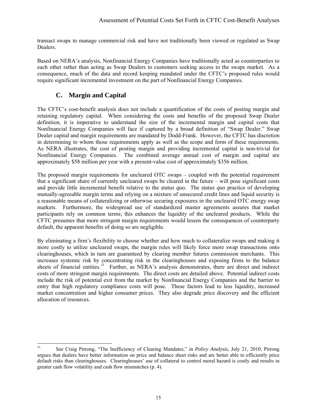<span id="page-17-0"></span>transact swaps to manage commercial risk and have not traditionally been viewed or regulated as Swap Dealers.

Based on NERA's analysis, Nonfinancial Energy Companies have traditionally acted as counterparties to each other rather than acting as Swap Dealers to customers seeking access to the swaps market. As a consequence, much of the data and record keeping mandated under the CFTC's proposed rules would require significant incremental investment on the part of Nonfinancial Energy Companies.

# **C. Margin and Capital**

The CFTC's cost-benefit analysis does not include a quantification of the costs of posting margin and retaining regulatory capital. When considering the costs and benefits of the proposed Swap Dealer definition, it is imperative to understand the size of the incremental margin and capital costs that Nonfinancial Energy Companies will face if captured by a broad definition of "Swap Dealer." Swap Dealer capital and margin requirements are mandated by Dodd-Frank. However, the CFTC has discretion in determining to whom those requirements apply as well as the scope and form of these requirements. As NERA illustrates, the cost of posting margin and providing incremental capital is non-trivial for Nonfinancial Energy Companies. The combined average annual cost of margin and capital are approximately \$58 million per year with a present-value cost of approximately \$356 million.

The proposed margin requirements for uncleared OTC swaps – coupled with the potential requirement that a significant share of currently uncleared swaps be cleared in the future – will pose significant costs and provide little incremental benefit relative to the *status quo*. The *status quo* practice of developing mutually-agreeable margin terms and relying on a mixture of unsecured credit lines and liquid security is a reasonable means of collateralizing or otherwise securing exposures in the uncleared OTC energy swap markets. Furthermore, the widespread use of standardized master agreements assures that market participants rely on common terms; this enhances the liquidity of the uncleared products. While the CFTC presumes that more stringent margin requirements would lessen the consequences of counterparty default, the apparent benefits of doing so are negligible.

By eliminating a firm's flexibility to choose whether and how much to collateralize swaps and making it more costly to utilize uncleared swaps, the margin rules will likely force more swap transactions onto clearinghouses, which in turn are guaranteed by clearing member futures commission merchants. This increases systemic risk by concentrating risk in the clearinghouses and exposing firms to the balance sheets of financial entities.<sup>[31](#page-17-1)</sup> Further, as NERA's analysis demonstrates, there are direct and indirect costs of more stringent margin requirements. The direct costs are detailed above. Potential indirect costs include the risk of potential exit from the market by Nonfinancial Energy Companies and the barrier to entry that high regulatory compliance costs will pose. These factors lead to less liquidity, increased market concentration and higher consumer prices. They also degrade price discovery and the efficient allocation of resources.

<span id="page-17-1"></span> $31$ 31 See Craig Pirrong, "The Inefficiency of Clearing Mandates," in *Policy Analysis*, July 21, 2010, Pirrong argues that dealers have better information on price and balance sheet risks and are better able to efficiently price default risks than clearinghouses. Clearinghouses' use of collateral to control moral hazard is costly and results in greater cash flow volatility and cash flow mismatches (p. 4).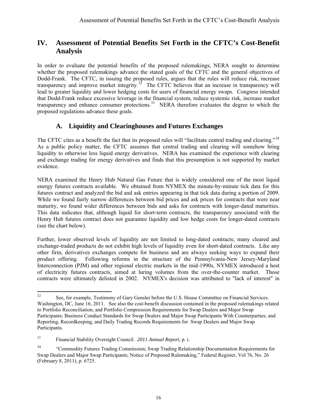# <span id="page-18-0"></span>**IV. Assessment of Potential Benefits Set Forth in the CFTC's Cost-Benefit Analysis**

In order to evaluate the potential benefits of the proposed rulemakings, NERA sought to determine whether the proposed rulemakings advance the stated goals of the CFTC and the general objectives of Dodd-Frank. The CFTC, in issuing the proposed rules, argues that the rules will reduce risk, increase transparency and improve market integrity.<sup>[32](#page-18-1)</sup> The CFTC believes that an increase in transparency will lead to greater liquidity and lower hedging costs for users of financial energy swaps. Congress intended that Dodd-Frank reduce excessive leverage in the financial system, reduce systemic risk, increase market transparency and enhance consumer protections.<sup>[33](#page-18-2)</sup> NERA therefore evaluates the degree to which the proposed regulations advance these goals.

# **A. Liquidity and Clearinghouses and Futures Exchanges**

The CFTC cites as a benefit the fact that its proposed rules will "facilitate central trading and clearing."<sup>[34](#page-18-3)</sup> As a public policy matter, the CFTC assumes that central trading and clearing will somehow bring liquidity to otherwise less liquid energy derivatives. NERA has examined the experience with clearing and exchange trading for energy derivatives and finds that this presumption is not supported by market evidence.

NERA examined the Henry Hub Natural Gas Future that is widely considered one of the most liquid energy futures contracts available. We obtained from NYMEX the minute-by-minute tick data for this futures contract and analyzed the bid and ask entries appearing in that tick data during a portion of 2009. While we found fairly narrow differences between bid prices and ask prices for contracts that were near maturity, we found wider differences between bids and asks for contracts with longer-dated maturities. This data indicates that, although liquid for short-term contracts, the transparency associated with the Henry Hub futures contract does not guarantee liquidity and low hedge costs for longer-dated contracts (see the chart below).

Further, lower observed levels of liquidity are not limited to long-dated contracts; many cleared and exchange-traded products do not exhibit high levels of liquidity even for short-dated contracts. Like any other firm, derivatives exchanges compete for business and are always seeking ways to expand their product offering. Following reforms in the structure of the Pennsylvania-New Jersey-Maryland Interconnection (PJM) and other regional electric markets in the mid-1990s, NYMEX introduced a host of electricity futures contracts, aimed at luring volumes from the over-the-counter market. Those contracts were ultimately delisted in 2002. NYMEX's decision was attributed to "lack of interest" in

<span id="page-18-1"></span> $32$ See, for example, Testimony of Gary Gensler before the U.S. House Committee on Financial Services. Washington, DC, June 16, 2011. See also the cost-benefit discussion contained in the proposed rulemakings related to Portfolio Reconciliation, and Portfolio Compression Requirements for Swap Dealers and Major Swap Participants; Business Conduct Standards for Swap Dealers and Major Swap Participants With Counterparties; and Reporting, Recordkeeping, and Daily Trading Records Requirements for Swap Dealers and Major Swap Participants.

<span id="page-18-2"></span><sup>33</sup> Financial Stability Oversight Council. *2011 Annual Report,* p. i.

<span id="page-18-3"></span><sup>&</sup>lt;sup>34</sup> "Commodity Futures Trading Commission; Swap Trading Relationship Documentation Requirements for Swap Dealers and Major Swap Participants; Notice of Proposed Rulemaking," Federal Register, Vol 76, No. 26 (February 8, 2011), p. 6725.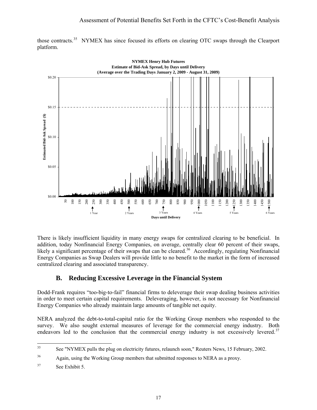<span id="page-19-0"></span>



There is likely insufficient liquidity in many energy swaps for centralized clearing to be beneficial. In addition, today Nonfinancial Energy Companies, on average, centrally clear 60 percent of their swaps, likely a significant percentage of their swaps that can be cleared.<sup>[36](#page-19-2)</sup> Accordingly, regulating Nonfinancial Energy Companies as Swap Dealers will provide little to no benefit to the market in the form of increased centralized clearing and associated transparency.

# **B. Reducing Excessive Leverage in the Financial System**

Dodd-Frank requires "too-big-to-fail" financial firms to deleverage their swap dealing business activities in order to meet certain capital requirements. Deleveraging, however, is not necessary for Nonfinancial Energy Companies who already maintain large amounts of tangible net equity.

NERA analyzed the debt-to-total-capital ratio for the Working Group members who responded to the survey. We also sought external measures of leverage for the commercial energy industry. Both endeavors led to the conclusion that the commercial energy industry is not excessively levered.<sup>37</sup>

<span id="page-19-1"></span> $35$ See "NYMEX pulls the plug on electricity futures, relaunch soon," Reuters News, 15 February, 2002.

<span id="page-19-2"></span><sup>36</sup> Again, using the Working Group members that submitted responses to NERA as a proxy.

<span id="page-19-3"></span><sup>&</sup>lt;sup>37</sup> See Exhibit 5.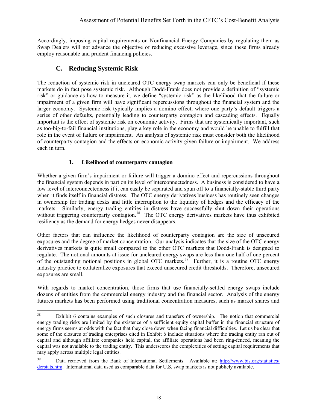<span id="page-20-0"></span>Accordingly, imposing capital requirements on Nonfinancial Energy Companies by regulating them as Swap Dealers will not advance the objective of reducing excessive leverage, since these firms already employ reasonable and prudent financing policies.

# **C. Reducing Systemic Risk**

The reduction of systemic risk in uncleared OTC energy swap markets can only be beneficial if these markets do in fact pose systemic risk. Although Dodd-Frank does not provide a definition of "systemic risk" or guidance as how to measure it, we define "systemic risk" as the likelihood that the failure or impairment of a given firm will have significant repercussions throughout the financial system and the larger economy. Systemic risk typically implies a domino effect, where one party's default triggers a series of other defaults, potentially leading to counterparty contagion and cascading effects. Equally important is the effect of systemic risk on economic activity. Firms that are systemically important, such as too-big-to-fail financial institutions, play a key role in the economy and would be unable to fulfill that role in the event of failure or impairment. An analysis of systemic risk must consider both the likelihood of counterparty contagion and the effects on economic activity given failure or impairment. We address each in turn.

## **1. Likelihood of counterparty contagion**

Whether a given firm's impairment or failure will trigger a domino effect and repercussions throughout the financial system depends in part on its level of interconnectedness. A business is considered to have a low level of interconnectedness if it can easily be separated and spun off to a financially-stable third party when it finds itself in financial distress. The OTC energy derivatives business has routinely seen changes in ownership for trading desks and little interruption to the liquidity of hedges and the efficacy of the markets. Similarly, energy trading entities in distress have successfully shut down their operations without triggering counterparty contagion.<sup>[38](#page-20-1)</sup> The OTC energy derivatives markets have thus exhibited resiliency as the demand for energy hedges never disappears.

Other factors that can influence the likelihood of counterparty contagion are the size of unsecured exposures and the degree of market concentration. Our analysis indicates that the size of the OTC energy derivatives markets is quite small compared to the other OTC markets that Dodd-Frank is designed to regulate. The notional amounts at issue for uncleared energy swaps are less than one half of one percent of the outstanding notional positions in global OTC markets.<sup>[39](#page-20-2)</sup> Further, it is a routine OTC energy industry practice to collateralize exposures that exceed unsecured credit thresholds. Therefore, unsecured exposures are small.

With regards to market concentration, those firms that use financially-settled energy swaps include dozens of entities from the commercial energy industry and the financial sector. Analysis of the energy futures markets has been performed using traditional concentration measures, such as market shares and

<span id="page-20-1"></span><sup>38</sup> Exhibit 6 contains examples of such closures and transfers of ownership. The notion that commercial energy trading risks are limited by the existence of a sufficient equity capital buffer in the financial structure of energy firms seems at odds with the fact that they close down when facing financial difficulties. Let us be clear that some of the closures of trading enterprises cited in Exhibit 6 include situations where the trading entity ran out of capital and although affiliate companies held capital, the affiliate operations had been ring-fenced, meaning the capital was not available to the trading entity. This underscores the complexities of setting capital requirements that may apply across multiple legal entities.

<span id="page-20-2"></span><sup>&</sup>lt;sup>39</sup> Data retrieved from the Bank of International Settlements. Available at: http://www.bis.org/statistics/ [derstats.htm.](http://www.bis.org/statistics/derstats.htm) International data used as comparable data for U.S. swap markets is not publicly available.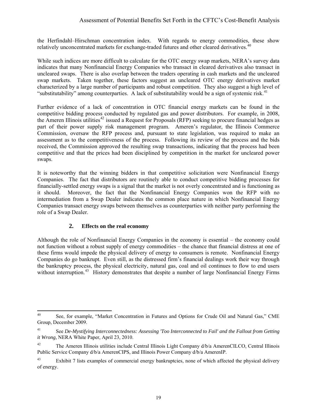<span id="page-21-0"></span>the Herfindahl–Hirschman concentration index. With regards to energy commodities, these show relatively unconcentrated markets for exchange-traded futures and other cleared derivatives.<sup>[40](#page-21-1)</sup>

While such indices are more difficult to calculate for the OTC energy swap markets, NERA's survey data indicates that many Nonfinancial Energy Companies who transact in cleared derivatives also transact in uncleared swaps. There is also overlap between the traders operating in cash markets and the uncleared swap markets. Taken together, these factors suggest an uncleared OTC energy derivatives market characterized by a large number of participants and robust competition. They also suggest a high level of "substitutability" among counterparties. A lack of substitutability would be a sign of systemic risk.<sup>[41](#page-21-2)</sup>

Further evidence of a lack of concentration in OTC financial energy markets can be found in the competitive bidding process conducted by regulated gas and power distributors. For example, in 2008, the Ameren Illinois utilities<sup>[42](#page-21-3)</sup> issued a Request for Proposals (RFP) seeking to procure financial hedges as part of their power supply risk management program. Ameren's regulator, the Illinois Commerce Commission, oversaw the RFP process and, pursuant to state legislation, was required to make an assessment as to the competitiveness of the process. Following its review of the process and the bids received, the Commission approved the resulting swap transactions, indicating that the process had been competitive and that the prices had been disciplined by competition in the market for uncleared power swaps.

It is noteworthy that the winning bidders in that competitive solicitation were Nonfinancial Energy Companies. The fact that distributors are routinely able to conduct competitive bidding processes for financially-settled energy swaps is a signal that the market is not overly concentrated and is functioning as it should. Moreover, the fact that the Nonfinancial Energy Companies won the RFP with no intermediation from a Swap Dealer indicates the common place nature in which Nonfinancial Energy Companies transact energy swaps between themselves as counterparties with neither party performing the role of a Swap Dealer.

### **2. Effects on the real economy**

Although the role of Nonfinancial Energy Companies in the economy is essential – the economy could not function without a robust supply of energy commodities – the chance that financial distress at one of these firms would impede the physical delivery of energy to consumers is remote. Nonfinancial Energy Companies do go bankrupt. Even still, as the distressed firm's financial dealings work their way through the bankruptcy process, the physical electricity, natural gas, coal and oil continues to flow to end users without interruption.<sup>[43](#page-21-4)</sup> History demonstrates that despite a number of large Nonfinancial Energy Firms

<span id="page-21-1"></span> $40$ See, for example, "Market Concentration in Futures and Options for Crude Oil and Natural Gas," CME Group, December 2009.

<span id="page-21-2"></span><sup>41</sup> See *De-Mystifying Interconnectedness: Assessing 'Too Interconnected to Fail' and the Fallout from Getting it Wrong*, NERA White Paper, April 23, 2010.

<span id="page-21-3"></span><sup>&</sup>lt;sup>42</sup> The Ameren Illinois utilities include Central Illinois Light Company d/b/a AmerenCILCO, Central Illinois Public Service Company  $d/b/a$  AmerenCIPS, and Illinois Power Company  $d/b/a$  AmerenIP.

<span id="page-21-4"></span><sup>&</sup>lt;sup>43</sup> Exhibit 7 lists examples of commercial energy bankruptcies, none of which affected the physical delivery of energy.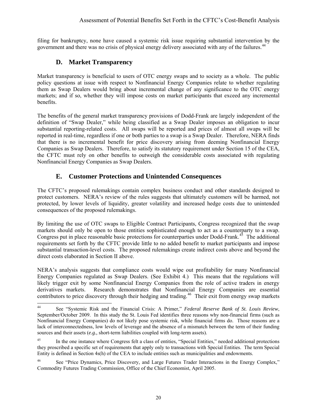<span id="page-22-0"></span>filing for bankruptcy, none have caused a systemic risk issue requiring substantial intervention by the government and there was no crisis of physical energy delivery associated with any of the failures.<sup>[44](#page-22-1)</sup>

## **D. Market Transparency**

Market transparency is beneficial to users of OTC energy swaps and to society as a whole. The public policy questions at issue with respect to Nonfinancial Energy Companies relate to whether regulating them as Swap Dealers would bring about incremental change of any significance to the OTC energy markets; and if so, whether they will impose costs on market participants that exceed any incremental benefits.

The benefits of the general market transparency provisions of Dodd-Frank are largely independent of the definition of "Swap Dealer," while being classified as a Swap Dealer imposes an obligation to incur substantial reporting-related costs. All swaps will be reported and prices of almost all swaps will be reported in real-time, regardless if one or both parties to a swap is a Swap Dealer. Therefore, NERA finds that there is no incremental benefit for price discovery arising from deeming Nonfinancial Energy Companies as Swap Dealers. Therefore, to satisfy its statutory requirement under Section 15 of the CEA, the CFTC must rely on other benefits to outweigh the considerable costs associated with regulating Nonfinancial Energy Companies as Swap Dealers.

# **E. Customer Protections and Unintended Consequences**

The CFTC's proposed rulemakings contain complex business conduct and other standards designed to protect customers. NERA's review of the rules suggests that ultimately customers will be harmed, not protected, by lower levels of liquidity, greater volatility and increased hedge costs due to unintended consequences of the proposed rulemakings.

By limiting the use of OTC swaps to Eligible Contract Participants, Congress recognized that the swap markets should only be open to those entities sophisticated enough to act as a counterparty to a swap. Congress put in place reasonable basic protections for counterparties under Dodd-Frank.<sup>[45](#page-22-2)</sup> The additional requirements set forth by the CFTC provide little to no added benefit to market participants and impose substantial transaction-level costs. The proposed rulemakings create indirect costs above and beyond the direct costs elaborated in Section II above.

NERA's analysis suggests that compliance costs would wipe out profitability for many Nonfinancial Energy Companies regulated as Swap Dealers. (See Exhibit 4.) This means that the regulations will likely trigger exit by some Nonfinancial Energy Companies from the role of active traders in energy derivatives markets. Research demonstrates that Nonfinancial Energy Companies are essential contributors to price discovery through their hedging and trading.<sup>[46](#page-22-3)</sup> Their exit from energy swap markets

<span id="page-22-1"></span> $44$ 44 See "Systemic Risk and the Financial Crisis: A Primer," *Federal Reserve Bank of St. Louis Review*, September/October 2009. In this study the St. Louis Fed identifies three reasons why non-financial firms (such as Nonfinancial Energy Companies) do not likely pose systemic risk, while financial firms do. Those reasons are a lack of interconnectedness, low levels of leverage and the absence of a mismatch between the term of their funding sources and their assets (*e.g.,* short-term liabilities coupled with long-term assets).

<span id="page-22-2"></span><sup>&</sup>lt;sup>45</sup> In the one instance where Congress felt a class of entities, "Special Entities," needed additional protections they proscribed a specific set of requirements that apply only to transactions with Special Entities. The term Special Entity is defined in Section 4s(h) of the CEA to include entities such as municipalities and endowments.

<span id="page-22-3"></span><sup>&</sup>lt;sup>46</sup> See "Price Dynamics, Price Discovery, and Large Futures Trader Interactions in the Energy Complex," Commodity Futures Trading Commission, Office of the Chief Economist, April 2005.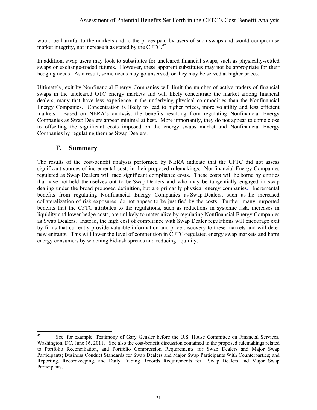<span id="page-23-0"></span>would be harmful to the markets and to the prices paid by users of such swaps and would compromise market integrity, not increase it as stated by the CFTC.<sup>[47](#page-23-1)</sup>

In addition, swap users may look to substitutes for uncleared financial swaps, such as physically-settled swaps or exchange-traded futures. However, these apparent substitutes may not be appropriate for their hedging needs. As a result, some needs may go unserved, or they may be served at higher prices.

Ultimately, exit by Nonfinancial Energy Companies will limit the number of active traders of financial swaps in the uncleared OTC energy markets and will likely concentrate the market among financial dealers, many that have less experience in the underlying physical commodities than the Nonfinancial Energy Companies. Concentration is likely to lead to higher prices, more volatility and less efficient markets. Based on NERA's analysis, the benefits resulting from regulating Nonfinancial Energy Companies as Swap Dealers appear minimal at best. More importantly, they do not appear to come close to offsetting the significant costs imposed on the energy swaps market and Nonfinancial Energy Companies by regulating them as Swap Dealers.

## **F. Summary**

The results of the cost-benefit analysis performed by NERA indicate that the CFTC did not assess significant sources of incremental costs in their proposed rulemakings. Nonfinancial Energy Companies regulated as Swap Dealers will face significant compliance costs. These costs will be borne by entities that have not held themselves out to be Swap Dealers and who may be tangentially engaged in swap dealing under the broad proposed definition, but are primarily physical energy companies. Incremental benefits from regulating Nonfinancial Energy Companies as Swap Dealers, such as the increased collateralization of risk exposures, do not appear to be justified by the costs. Further, many purported benefits that the CFTC attributes to the regulations, such as reductions in systemic risk, increases in liquidity and lower hedge costs, are unlikely to materialize by regulating Nonfinancial Energy Companies as Swap Dealers. Instead, the high cost of compliance with Swap Dealer regulations will encourage exit by firms that currently provide valuable information and price discovery to these markets and will deter new entrants. This will lower the level of competition in CFTC-regulated energy swap markets and harm energy consumers by widening bid-ask spreads and reducing liquidity.

<span id="page-23-1"></span><sup>47</sup> See, for example, Testimony of Gary Gensler before the U.S. House Committee on Financial Services. Washington, DC, June 16, 2011. See also the cost-benefit discussion contained in the proposed rulemakings related to Portfolio Reconciliation, and Portfolio Compression Requirements for Swap Dealers and Major Swap Participants; Business Conduct Standards for Swap Dealers and Major Swap Participants With Counterparties; and Reporting, Recordkeeping, and Daily Trading Records Requirements for Swap Dealers and Major Swap Participants.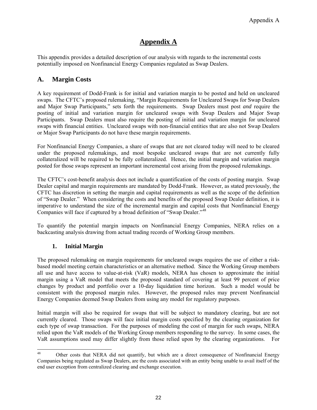# **Appendix A**

This appendix provides a detailed description of our analysis with regards to the incremental costs potentially imposed on Nonfinancial Energy Companies regulated as Swap Dealers.

# **A. Margin Costs**

A key requirement of Dodd-Frank is for initial and variation margin to be posted and held on uncleared swaps. The CFTC's proposed rulemaking, "Margin Requirements for Uncleared Swaps for Swap Dealers and Major Swap Participants," sets forth the requirements. Swap Dealers must post *and* require the posting of initial and variation margin for uncleared swaps with Swap Dealers and Major Swap Participants. Swap Dealers must also require the posting of initial and variation margin for uncleared swaps with financial entities. Uncleared swaps with non-financial entities that are also not Swap Dealers or Major Swap Participants do not have these margin requirements.

For Nonfinancial Energy Companies, a share of swaps that are not cleared today will need to be cleared under the proposed rulemakings, and most bespoke uncleared swaps that are not currently fully collateralized will be required to be fully collateralized. Hence, the initial margin and variation margin posted for those swaps represent an important incremental cost arising from the proposed rulemakings.

The CFTC's cost-benefit analysis does not include a quantification of the costs of posting margin. Swap Dealer capital and margin requirements are mandated by Dodd-Frank. However, as stated previously, the CFTC has discretion in setting the margin and capital requirements as well as the scope of the definition of "Swap Dealer." When considering the costs and benefits of the proposed Swap Dealer definition, it is imperative to understand the size of the incremental margin and capital costs that Nonfinancial Energy Companies will face if captured by a broad definition of "Swap Dealer."[48](#page-24-0)

To quantify the potential margin impacts on Nonfinancial Energy Companies, NERA relies on a backcasting analysis drawing from actual trading records of Working Group members.

#### **1. Initial Margin**

The proposed rulemaking on margin requirements for uncleared swaps requires the use of either a riskbased model meeting certain characteristics or an alternative method. Since the Working Group members all use and have access to value-at-risk (VaR) models, NERA has chosen to approximate the initial margin using a VaR model that meets the proposed standard of covering at least 99 percent of price changes by product and portfolio over a 10-day liquidation time horizon. Such a model would be consistent with the proposed margin rules. However, the proposed rules may prevent Nonfinancial Energy Companies deemed Swap Dealers from using any model for regulatory purposes.

Initial margin will also be required for swaps that will be subject to mandatory clearing, but are not currently cleared. Those swaps will face initial margin costs specified by the clearing organization for each type of swap transaction. For the purposes of modeling the cost of margin for such swaps, NERA relied upon the VaR models of the Working Group members responding to the survey. In some cases, the VaR assumptions used may differ slightly from those relied upon by the clearing organizations. For

<span id="page-24-0"></span><sup>48</sup> Other costs that NERA did not quantify, but which are a direct consequence of Nonfinancial Energy Companies being regulated as Swap Dealers, are the costs associated with an entity being unable to avail itself of the end user exception from centralized clearing and exchange execution.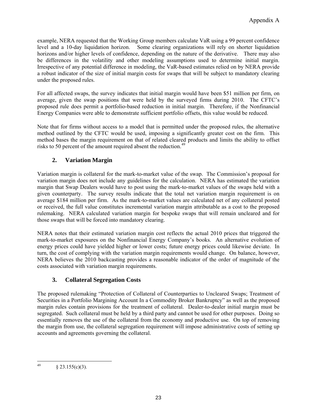example, NERA requested that the Working Group members calculate VaR using a 99 percent confidence level and a 10-day liquidation horizon. Some clearing organizations will rely on shorter liquidation horizons and/or higher levels of confidence, depending on the nature of the derivative. There may also be differences in the volatility and other modeling assumptions used to determine initial margin. Irrespective of any potential difference in modeling, the VaR-based estimates relied on by NERA provide a robust indicator of the size of initial margin costs for swaps that will be subject to mandatory clearing under the proposed rules.

For all affected swaps, the survey indicates that initial margin would have been \$51 million per firm, on average, given the swap positions that were held by the surveyed firms during 2010. The CFTC's proposed rule does permit a portfolio-based reduction in initial margin. Therefore, if the Nonfinancial Energy Companies were able to demonstrate sufficient portfolio offsets, this value would be reduced.

Note that for firms without access to a model that is permitted under the proposed rules, the alternative method outlined by the CFTC would be used, imposing a significantly greater cost on the firm. This method bases the margin requirement on that of related cleared products and limits the ability to offset risks to 50 percent of the amount required absent the reduction.<sup>[49](#page-25-0)</sup>

#### **2. Variation Margin**

Variation margin is collateral for the mark-to-market value of the swap. The Commission's proposal for variation margin does not include any guidelines for the calculation. NERA has estimated the variation margin that Swap Dealers would have to post using the mark-to-market values of the swaps held with a given counterparty. The survey results indicate that the total net variation margin requirement is on average \$184 million per firm. As the mark-to-market values are calculated net of any collateral posted or received, the full value constitutes incremental variation margin attributable as a cost to the proposed rulemaking. NERA calculated variation margin for bespoke swaps that will remain uncleared and for those swaps that will be forced into mandatory clearing.

NERA notes that their estimated variation margin cost reflects the actual 2010 prices that triggered the mark-to-market exposures on the Nonfinancial Energy Company's books. An alternative evolution of energy prices could have yielded higher or lower costs; future energy prices could likewise deviate. In turn, the cost of complying with the variation margin requirements would change. On balance, however, NERA believes the 2010 backcasting provides a reasonable indicator of the order of magnitude of the costs associated with variation margin requirements.

#### **3. Collateral Segregation Costs**

The proposed rulemaking "Protection of Collateral of Counterparties to Uncleared Swaps; Treatment of Securities in a Portfolio Margining Account In a Commodity Broker Bankruptcy" as well as the proposed margin rules contain provisions for the treatment of collateral. Dealer-to-dealer initial margin must be segregated. Such collateral must be held by a third party and cannot be used for other purposes. Doing so essentially removes the use of the collateral from the economy and productive use. On top of removing the margin from use, the collateral segregation requirement will impose administrative costs of setting up accounts and agreements governing the collateral.

<span id="page-25-0"></span><sup>49</sup>  $§$  23.155(c)(3).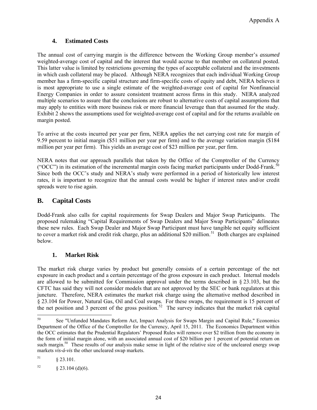#### **4. Estimated Costs**

The annual cost of carrying margin is the difference between the Working Group member's *assumed* weighted-average cost of capital and the interest that would accrue to that member on collateral posted. This latter value is limited by restrictions governing the types of acceptable collateral and the investments in which cash collateral may be placed. Although NERA recognizes that each individual Working Group member has a firm-specific capital structure and firm-specific costs of equity and debt, NERA believes it is most appropriate to use a single estimate of the weighted-average cost of capital for Nonfinancial Energy Companies in order to assure consistent treatment across firms in this study. NERA analyzed multiple scenarios to assure that the conclusions are robust to alternative costs of capital assumptions that may apply to entities with more business risk or more financial leverage than that assumed for the study. Exhibit 2 shows the assumptions used for weighted-average cost of capital and for the returns available on margin posted.

To arrive at the costs incurred per year per firm, NERA applies the net carrying cost rate for margin of 9.59 percent to initial margin (\$51 million per year per firm) and to the average variation margin (\$184 million per year per firm). This yields an average cost of \$23 million per year, per firm.

NERA notes that our approach parallels that taken by the Office of the Comptroller of the Currency ("OCC") in its estimation of the incremental margin costs facing market participants under Dodd-Frank.<sup>50</sup> Since both the OCC's study and NERA's study were performed in a period of historically low interest rates, it is important to recognize that the annual costs would be higher if interest rates and/or credit spreads were to rise again.

# **B. Capital Costs**

Dodd-Frank also calls for capital requirements for Swap Dealers and Major Swap Participants. The proposed rulemaking "Capital Requirements of Swap Dealers and Major Swap Participants" delineates these new rules. Each Swap Dealer and Major Swap Participant must have tangible net equity sufficient to cover a market risk and credit risk charge, plus an additional \$20 million.<sup>[51](#page-26-1)</sup> Both charges are explained below.

#### **1. Market Risk**

The market risk charge varies by product but generally consists of a certain percentage of the net exposure in each product and a certain percentage of the gross exposure in each product. Internal models are allowed to be submitted for Commission approval under the terms described in § 23.103, but the CFTC has said they will not consider models that are not approved by the SEC or bank regulators at this juncture. Therefore, NERA estimates the market risk charge using the alternative method described in § 23.104 for Power, Natural Gas, Oil and Coal swaps. For these swaps, the requirement is 15 percent of the net position and 3 percent of the gross position.<sup>[52](#page-26-2)</sup> The survey indicates that the market risk capital

<span id="page-26-0"></span><sup>50</sup> 50 See "Unfunded Mandates Reform Act, Impact Analysis for Swaps Margin and Capital Rule," Economics Department of the Office of the Comptroller for the Currency, April 15, 2011. The Economics Department within the OCC estimates that the Prudential Regulators' Proposed Rules will remove over \$2 trillion from the economy in the form of initial margin alone, with an associated annual cost of \$20 billion per 1 percent of potential return on such margin.<sup>50</sup> These results of our analysis make sense in light of the relative size of the uncleared energy swap markets *vis-á-vis* the other uncleared swap markets.

<span id="page-26-1"></span> $$23.101$ .

<span id="page-26-2"></span> $52 \qquad \qquad$  § 23.104 (d)(6).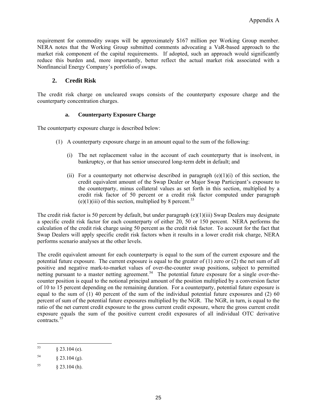requirement for commodity swaps will be approximately \$167 million per Working Group member. NERA notes that the Working Group submitted comments advocating a VaR-based approach to the market risk component of the capital requirements. If adopted, such an approach would significantly reduce this burden and, more importantly, better reflect the actual market risk associated with a Nonfinancial Energy Company's portfolio of swaps.

#### **2. Credit Risk**

The credit risk charge on uncleared swaps consists of the counterparty exposure charge and the counterparty concentration charges.

### **a. Counterparty Exposure Charge**

The counterparty exposure charge is described below:

- (1) A counterparty exposure charge in an amount equal to the sum of the following:
	- (i) The net replacement value in the account of each counterparty that is insolvent, in bankruptcy, or that has senior unsecured long-term debt in default; and
	- (ii) For a counterparty not otherwise described in paragraph  $(e)(1)(i)$  of this section, the credit equivalent amount of the Swap Dealer or Major Swap Participant's exposure to the counterparty, minus collateral values as set forth in this section, multiplied by a credit risk factor of 50 percent or a credit risk factor computed under paragraph (e)(1)(iii) of this section, multiplied by 8 percent.<sup>[53](#page-27-0)</sup>

The credit risk factor is 50 percent by default, but under paragraph (e)(1)(iii) Swap Dealers may designate a specific credit risk factor for each counterparty of either 20, 50 or 150 percent. NERA performs the calculation of the credit risk charge using 50 percent as the credit risk factor. To account for the fact that Swap Dealers will apply specific credit risk factors when it results in a lower credit risk charge, NERA performs scenario analyses at the other levels.

The credit equivalent amount for each counterparty is equal to the sum of the current exposure and the potential future exposure. The current exposure is equal to the greater of (1) zero or (2) the net sum of all positive and negative mark-to-market values of over-the-counter swap positions, subject to permitted netting pursuant to a master netting agreement.<sup>[54](#page-27-1)</sup> The potential future exposure for a single over-thecounter position is equal to the notional principal amount of the position multiplied by a conversion factor of 10 to 15 percent depending on the remaining duration. For a counterparty, potential future exposure is equal to the sum of (1) 40 percent of the sum of the individual potential future exposures and (2) 60 percent of sum of the potential future exposures multiplied by the NGR. The NGR, in turn, is equal to the ratio of the net current credit exposure to the gross current credit exposure, where the gross current credit exposure equals the sum of the positive current credit exposures of all individual OTC derivative contracts.<sup>[55](#page-27-2)</sup>

<span id="page-27-1"></span>54 § 23.104 (g).

<span id="page-27-0"></span><sup>53</sup>  $§$  23.104 (e).

<span id="page-27-2"></span> $\frac{55}{9}$  § 23.104 (h).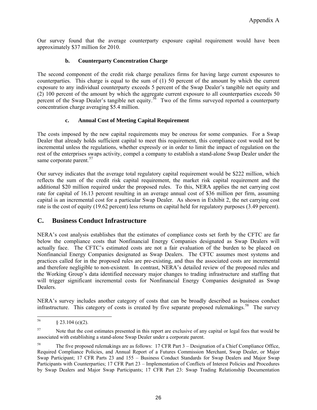Our survey found that the average counterparty exposure capital requirement would have been approximately \$37 million for 2010.

### **b. Counterparty Concentration Charge**

The second component of the credit risk charge penalizes firms for having large current exposures to counterparties. This charge is equal to the sum of (1) 50 percent of the amount by which the current exposure to any individual counterparty exceeds 5 percent of the Swap Dealer's tangible net equity and (2) 100 percent of the amount by which the aggregate current exposure to all counterparties exceeds 50 percent of the Swap Dealer's tangible net equity.<sup>[56](#page-28-0)</sup> Two of the firms surveyed reported a counterparty concentration charge averaging \$5.4 million.

### **c. Annual Cost of Meeting Capital Requirement**

The costs imposed by the new capital requirements may be onerous for some companies. For a Swap Dealer that already holds sufficient capital to meet this requirement, this compliance cost would not be incremental unless the regulations, whether expressly or in order to limit the impact of regulation on the rest of the enterprises swaps activity, compel a company to establish a stand-alone Swap Dealer under the same corporate parent.<sup>[57](#page-28-1)</sup>

Our survey indicates that the average total regulatory capital requirement would be \$222 million, which reflects the sum of the credit risk capital requirement, the market risk capital requirement and the additional \$20 million required under the proposed rules. To this, NERA applies the net carrying cost rate for capital of 16.13 percent resulting in an average annual cost of \$36 million per firm, assuming capital is an incremental cost for a particular Swap Dealer. As shown in Exhibit 2, the net carrying cost rate is the cost of equity (19.62 percent) less returns on capital held for regulatory purposes (3.49 percent).

## **C. Business Conduct Infrastructure**

NERA's cost analysis establishes that the estimates of compliance costs set forth by the CFTC are far below the compliance costs that Nonfinancial Energy Companies designated as Swap Dealers will actually face. The CFTC's estimated costs are not a fair evaluation of the burden to be placed on Nonfinancial Energy Companies designated as Swap Dealers. The CFTC assumes most systems and practices called for in the proposed rules are pre-existing, and thus the associated costs are incremental and therefore negligible to non-existent. In contrast, NERA's detailed review of the proposed rules and the Working Group's data identified necessary major changes to trading infrastructure and staffing that will trigger significant incremental costs for Nonfinancial Energy Companies designated as Swap Dealers.

NERA's survey includes another category of costs that can be broadly described as business conduct infrastructure. This category of costs is created by five separate proposed rulemakings.<sup>[58](#page-28-2)</sup> The survey

<span id="page-28-0"></span><sup>56</sup>  $§$  23.104 (e)(2).

<span id="page-28-1"></span><sup>&</sup>lt;sup>57</sup> Note that the cost estimates presented in this report are exclusive of any capital or legal fees that would be associated with establishing a stand-alone Swap Dealer under a corporate parent.

<span id="page-28-2"></span><sup>58</sup> The five proposed rulemakings are as follows: 17 CFR Part 3 – Designation of a Chief Compliance Office, Required Compliance Policies, and Annual Report of a Futures Commission Merchant, Swap Dealer, or Major Swap Participant; 17 CFR Parts 23 and 155 – Business Conduct Standards for Swap Dealers and Major Swap Participants with Counterparties; 17 CFR Part 23 – Implementation of Conflicts of Interest Policies and Procedures by Swap Dealers and Major Swap Participants; 17 CFR Part 23: Swap Trading Relationship Documentation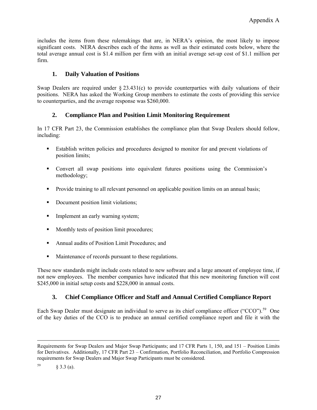includes the items from these rulemakings that are, in NERA's opinion, the most likely to impose significant costs. NERA describes each of the items as well as their estimated costs below, where the total average annual cost is \$1.4 million per firm with an initial average set-up cost of \$1.1 million per firm.

#### **1. Daily Valuation of Positions**

Swap Dealers are required under  $\S 23.431(c)$  to provide counterparties with daily valuations of their positions. NERA has asked the Working Group members to estimate the costs of providing this service to counterparties, and the average response was \$260,000.

#### **2. Compliance Plan and Position Limit Monitoring Requirement**

In 17 CFR Part 23, the Commission establishes the compliance plan that Swap Dealers should follow, including:

- Establish written policies and procedures designed to monitor for and prevent violations of position limits;
- Convert all swap positions into equivalent futures positions using the Commission's methodology;
- Provide training to all relevant personnel on applicable position limits on an annual basis;
- Document position limit violations:
- **Implement an early warning system;**
- Monthly tests of position limit procedures;
- Annual audits of Position Limit Procedures; and
- Maintenance of records pursuant to these regulations.

These new standards might include costs related to new software and a large amount of employee time, if not new employees. The member companies have indicated that this new monitoring function will cost \$245,000 in initial setup costs and \$228,000 in annual costs.

#### **3. Chief Compliance Officer and Staff and Annual Certified Compliance Report**

Each Swap Dealer must designate an individual to serve as its chief compliance officer ("CCO").<sup>[59](#page-29-0)</sup> One of the key duties of the CCO is to produce an annual certified compliance report and file it with the

 $\overline{\phantom{a}}$ 

Requirements for Swap Dealers and Major Swap Participants; and 17 CFR Parts 1, 150, and 151 – Position Limits for Derivatives. Additionally, 17 CFR Part 23 – Confirmation, Portfolio Reconciliation, and Portfolio Compression requirements for Swap Dealers and Major Swap Participants must be considered.

<span id="page-29-0"></span> $59 \qquad \qquad \S 3.3 \text{ (a)}.$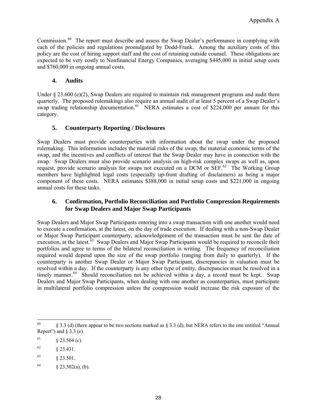Commission.<sup>[60](#page-30-0)</sup> The report must describe and assess the Swap Dealer's performance in complying with each of the policies and regulations promulgated by Dodd-Frank. Among the auxiliary costs of this policy are the cost of hiring support staff and the cost of retaining outside counsel. These obligations are expected to be very costly to Nonfinancial Energy Companies, averaging \$445,000 in initial setup costs and \$760,000 in ongoing annual costs.

#### **4. Audits**

Under  $\S 23.600$  (e)(2), Swap Dealers are required to maintain risk management programs and audit them quarterly. The proposed rulemakings also require an annual audit of at least 5 percent of a Swap Dealer's swap trading relationship documentation.<sup>[61](#page-30-1)</sup> NERA estimates a cost of \$224,000 per annum for this category.

#### **5. Counterparty Reporting / Disclosures**

Swap Dealers must provide counterparties with information about the swap under the proposed rulemaking. This information includes the material risks of the swap, the material economic terms of the swap, and the incentives and conflicts of interest that the Swap Dealer may have in connection with the swap. Swap Dealers must also provide scenario analysis on high-risk complex swaps as well as, upon request, provide scenario analysis for swaps not executed on a DCM or SEF.<sup>[62](#page-30-2)</sup> The Working Group members have highlighted legal costs (especially up-front drafting of disclaimers) as being a major component of these costs. NERA estimates \$388,000 in initial setup costs and \$221,000 in ongoing annual costs for these tasks.

#### **6. Confirmation, Portfolio Reconciliation and Portfolio Compression Requirements for Swap Dealers and Major Swap Participants**

Swap Dealers and Major Swap Participants entering into a swap transaction with one another would need to execute a confirmation, at the latest, on the day of trade execution. If dealing with a non-Swap Dealer or Major Swap Participant counterparty, acknowledgement of the transaction must be sent the date of execution, at the latest.<sup>[63](#page-30-3)</sup> Swap Dealers and Major Swap Participants would be required to reconcile their portfolios and agree to terms of the bilateral reconciliation in writing. The frequency of reconciliation required would depend upon the size of the swap portfolio (ranging from daily to quarterly). If the counterparty is another Swap Dealer or Major Swap Participant, discrepancies in valuation must be resolved within a day. If the counterparty is any other type of entity, discrepancies must be resolved in a timely manner.<sup>[64](#page-30-4)</sup> Should reconciliation not be achieved within a day, a record must be kept. Swap Dealers and Major Swap Participants, when dealing with one another as counterparties, must participate in multilateral portfolio compression unless the compression would increase the risk exposure of the

<span id="page-30-0"></span><sup>60</sup> § 3.3 (d) (there appear to be two sections marked as § 3.3 (d), but NERA refers to the one entitled "Annual" Report") and  $\S$  3.3 (e).

<span id="page-30-1"></span> $61 \qquad \qquad \frac{8}{23.504}$  (c).

<span id="page-30-2"></span> $62 \quad \frac{\text{}}{\text{}}23.431.$ 

<span id="page-30-3"></span> $63 \qquad \qquad \S 23.501.$ 

<span id="page-30-4"></span> $64 \qquad \qquad \S 23.502(a), (b).$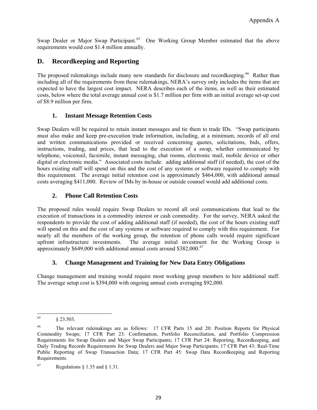Swap Dealer or Major Swap Participant.<sup>[65](#page-31-0)</sup> One Working Group Member estimated that the above requirements would cost \$1.4 million annually.

# **D. Recordkeeping and Reporting**

The proposed rulemakings include many new standards for disclosure and recordkeeping.<sup>[66](#page-31-1)</sup> Rather than including all of the requirements from these rulemakings, NERA's survey only includes the items that are expected to have the largest cost impact. NERA describes each of the items, as well as their estimated costs, below where the total average annual cost is \$1.7 million per firm with an initial average set-up cost of \$8.9 million per firm.

#### **1. Instant Message Retention Costs**

Swap Dealers will be required to retain instant messages and tie them to trade IDs. "Swap participants must also make and keep pre-execution trade information, including, at a minimum, records of all oral and written communications provided or received concerning quotes, solicitations, bids, offers, instructions, trading, and prices, that lead to the execution of a swap, whether communicated by telephone, voicemail, facsimile, instant messaging, chat rooms, electronic mail, mobile device or other digital or electronic media." Associated costs include: adding additional staff (if needed), the cost of the hours existing staff will spend on this and the cost of any systems or software required to comply with this requirement. The average initial retention cost is approximately \$464,000, with additional annual costs averaging \$411,000. Review of IMs by in-house or outside counsel would add additional costs.

#### **2. Phone Call Retention Costs**

The proposed rules would require Swap Dealers to record all oral communications that lead to the execution of transactions in a commodity interest or cash commodity. For the survey, NERA asked the respondents to provide the cost of adding additional staff (if needed), the cost of the hours existing staff will spend on this and the cost of any systems or software required to comply with this requirement. For nearly all the members of the working group, the retention of phone calls would require significant upfront infrastructure investments. The average initial investment for the Working Group is approximately  $$649,000$  with additional annual costs around  $$382,000$ .<sup>[67](#page-31-2)</sup>

#### **3. Change Management and Training for New Data Entry Obligations**

Change management and training would require most working group members to hire additional staff. The average setup cost is \$394,000 with ongoing annual costs averaging \$92,000.

<span id="page-31-0"></span><sup>65</sup> § 23.503.

<span id="page-31-1"></span><sup>66</sup> The relevant rulemakings are as follows: 17 CFR Parts 15 and 20: Position Reports for Physical Commodity Swaps; 17 CFR Part 23: Confirmation, Portfolio Reconciliation, and Portfolio Compression Requirements for Swap Dealers and Major Swap Participants; 17 CFR Part 24: Reporting, Recordkeeping, and Daily Trading Records Requirements for Swap Dealers and Major Swap Participants; 17 CFR Part 43: Real-Time Public Reporting of Swap Transaction Data; 17 CFR Part 45: Swap Data Recordkeeping and Reporting Requirements.

<span id="page-31-2"></span> $^{67}$  Regulations § 1.35 and § 1.31.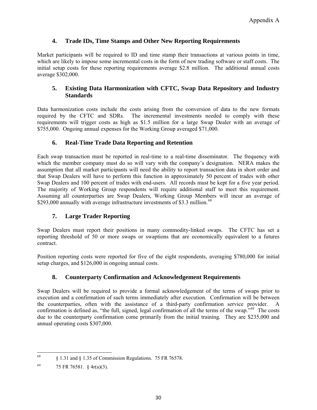#### **4. Trade IDs, Time Stamps and Other New Reporting Requirements**

Market participants will be required to ID and time stamp their transactions at various points in time, which are likely to impose some incremental costs in the form of new trading software or staff costs. The initial setup costs for these reporting requirements average \$2.8 million. The additional annual costs average \$302,000.

#### **5. Existing Data Harmonization with CFTC, Swap Data Repository and Industry Standards**

Data harmonization costs include the costs arising from the conversion of data to the new formats required by the CFTC and SDRs. The incremental investments needed to comply with these requirements will trigger costs as high as \$1.5 million for a large Swap Dealer with an average of \$755,000. Ongoing annual expenses for the Working Group averaged \$71,000.

#### **6. Real-Time Trade Data Reporting and Retention**

Each swap transaction must be reported in real-time to a real-time disseminator. The frequency with which the member company must do so will vary with the company's designation. NERA makes the assumption that all market participants will need the ability to report transaction data in short order and that Swap Dealers will have to perform this function in approximately 50 percent of trades with other Swap Dealers and 100 percent of trades with end-users. All records must be kept for a five year period. The majority of Working Group respondents will require additional staff to meet this requirement. Assuming all counterparties are Swap Dealers, Working Group Members will incur an average of \$293,000 annually with average infrastructure investments of \$3.3 million.<sup>[68](#page-32-0)</sup>

#### **7. Large Trader Reporting**

Swap Dealers must report their positions in many commodity-linked swaps. The CFTC has set a reporting threshold of 50 or more swaps or swaptions that are economically equivalent to a futures contract.

Position reporting costs were reported for five of the eight respondents, averaging \$780,000 for initial setup charges, and \$126,000 in ongoing annual costs.

#### **8. Counterparty Confirmation and Acknowledgement Requirements**

Swap Dealers will be required to provide a formal acknowledgement of the terms of swaps prior to execution and a confirmation of such terms immediately after execution. Confirmation will be between the counterparties, often with the assistance of a third-party confirmation service provider. A confirmation is defined as, "the full, signed, legal confirmation of all the terms of the swap."[69](#page-32-1) The costs due to the counterparty confirmation come primarily from the initial training. They are \$235,000 and annual operating costs \$307,000.

<span id="page-32-0"></span><sup>68</sup> 68 § 1.31 and § 1.35 of Commission Regulations. 75 FR 76578.

<span id="page-32-1"></span><sup>69 75</sup> FR 76581.  $\frac{6}{9}$  4r(a)(3).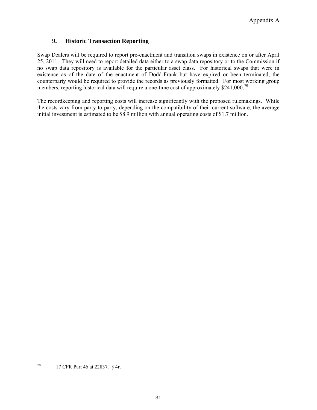#### **9. Historic Transaction Reporting**

Swap Dealers will be required to report pre-enactment and transition swaps in existence on or after April 25, 2011. They will need to report detailed data either to a swap data repository or to the Commission if no swap data repository is available for the particular asset class. For historical swaps that were in existence as of the date of the enactment of Dodd-Frank but have expired or been terminated, the counterparty would be required to provide the records as previously formatted. For most working group members, reporting historical data will require a one-time cost of approximately \$241,000.<sup>[70](#page-33-0)</sup>

The recordkeeping and reporting costs will increase significantly with the proposed rulemakings. While the costs vary from party to party, depending on the compatibility of their current software, the average initial investment is estimated to be \$8.9 million with annual operating costs of \$1.7 million.

<span id="page-33-0"></span> $70\,$ 17 CFR Part 46 at 22837. § 4r.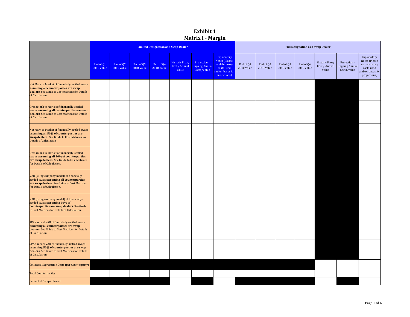### **Exhibit 1 Matrix I Margin**

|                                                                                                                                                                          |                                |                                |                         |                                | <b>Limited Designation as a Swap Dealer</b>     |                                                      | <b>Full Designation as a Swap Dealer</b>                                                               |                         |                                |                                |                                |                                                 |                                                      |                                                                                                 |
|--------------------------------------------------------------------------------------------------------------------------------------------------------------------------|--------------------------------|--------------------------------|-------------------------|--------------------------------|-------------------------------------------------|------------------------------------------------------|--------------------------------------------------------------------------------------------------------|-------------------------|--------------------------------|--------------------------------|--------------------------------|-------------------------------------------------|------------------------------------------------------|-------------------------------------------------------------------------------------------------|
|                                                                                                                                                                          | End of 01<br><b>2010 Value</b> | End of Q2<br><b>2010 Value</b> | End of 03<br>2010 Value | End of 04<br><b>2010 Value</b> | <b>Historic Proxy</b><br>Cost / Annual<br>Value | Projection -<br><b>Ongoing Annual</b><br>Costs/Value | Explanatory<br><b>Notes (Please</b><br>explain proxy<br>costs used<br>and/or bases for<br>projections) | End of Q1<br>2010 Value | End of Q2<br><b>2010 Value</b> | End of 03<br><b>2010 Value</b> | End of 04<br><b>2010 Value</b> | <b>Historic Proxy</b><br>Cost / Annual<br>Value | Projection -<br><b>Ongoing Annual</b><br>Costs/Value | Explanatory<br>Notes (Please<br>explain proxy<br>costs used<br>and/or bases for<br>projections) |
| Net Mark to Market of financially-settled swaps<br>assuming all counterparties are swap<br>dealers. See Guide to Cost Matrices for Details<br>of Calculation.            |                                |                                |                         |                                |                                                 |                                                      |                                                                                                        |                         |                                |                                |                                |                                                 |                                                      |                                                                                                 |
| Gross Mark to Market of financially-settled<br>swaps assuming all counterparties are swap<br>dealers. See Guide to Cost Matrices for Details<br>of Calculation.          |                                |                                |                         |                                |                                                 |                                                      |                                                                                                        |                         |                                |                                |                                |                                                 |                                                      |                                                                                                 |
| Net Mark to Market of financially-settled swaps<br>assuming all 50% of counterparties are<br>swap dealers. See Guide to Cost Matrices for<br>Details of Calculation.     |                                |                                |                         |                                |                                                 |                                                      |                                                                                                        |                         |                                |                                |                                |                                                 |                                                      |                                                                                                 |
| Gross Mark to Market of financially-settled<br>swaps assuming all 50% of counterparties<br>are swap dealers. See Guide to Cost Matrices<br>for Details of Calculation.   |                                |                                |                         |                                |                                                 |                                                      |                                                                                                        |                         |                                |                                |                                |                                                 |                                                      |                                                                                                 |
| VAR (using company model) of financially-<br>settled swaps assuming all counterparties<br>are swap dealers. See Guide to Cost Matrices<br>for Details of Calculation.    |                                |                                |                         |                                |                                                 |                                                      |                                                                                                        |                         |                                |                                |                                |                                                 |                                                      |                                                                                                 |
| VAR (using company model) of financially-<br>settled swaps assuming 50% of<br>counterparties are swap dealers. See Guide<br>to Cost Matrices for Details of Calculation. |                                |                                |                         |                                |                                                 |                                                      |                                                                                                        |                         |                                |                                |                                |                                                 |                                                      |                                                                                                 |
| SPAN model VAR of financially-settled swaps<br>assuming all counterparties are swap<br>dealers. See Guide to Cost Matrices for Details<br>of Calculation.                |                                |                                |                         |                                |                                                 |                                                      |                                                                                                        |                         |                                |                                |                                |                                                 |                                                      |                                                                                                 |
| SPAN model VAR of financially-settled swaps<br>assuming 50% of counterparties are swap<br>dealers. See Guide to Cost Matrices for Details<br>of Calculation.             |                                |                                |                         |                                |                                                 |                                                      |                                                                                                        |                         |                                |                                |                                |                                                 |                                                      |                                                                                                 |
| Collateral Segregation Costs (per Counterparty)                                                                                                                          |                                |                                |                         |                                |                                                 |                                                      |                                                                                                        |                         |                                |                                |                                |                                                 |                                                      |                                                                                                 |
| <b>Total Counterparties</b>                                                                                                                                              |                                |                                |                         |                                |                                                 |                                                      |                                                                                                        |                         |                                |                                |                                |                                                 |                                                      |                                                                                                 |
| Percent of Swaps Cleared                                                                                                                                                 |                                |                                |                         |                                |                                                 |                                                      |                                                                                                        |                         |                                |                                |                                |                                                 |                                                      |                                                                                                 |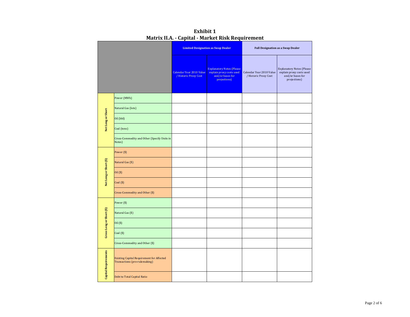|                          |                                                                                   |                                                   | <b>Limited Designation as Swap Dealer</b>                                                        | <b>Full Designation as a Swap Dealer</b>          |                                                                                                  |  |  |  |
|--------------------------|-----------------------------------------------------------------------------------|---------------------------------------------------|--------------------------------------------------------------------------------------------------|---------------------------------------------------|--------------------------------------------------------------------------------------------------|--|--|--|
|                          |                                                                                   | Calendar Year 2010 Value<br>/ Historic Proxy Cost | <b>Explanatory Notes (Please</b><br>explain proxy costs used<br>and/or bases for<br>projections) | Calendar Year 2010 Value<br>/ Historic Proxy Cost | <b>Explanatory Notes (Please</b><br>explain proxy costs used<br>and/or bases for<br>projections) |  |  |  |
|                          | Power (MWh)                                                                       |                                                   |                                                                                                  |                                                   |                                                                                                  |  |  |  |
|                          | Natural Gas (lots)                                                                |                                                   |                                                                                                  |                                                   |                                                                                                  |  |  |  |
| Net Long or Short        | Oil (bbl)                                                                         |                                                   |                                                                                                  |                                                   |                                                                                                  |  |  |  |
|                          | Coal (tons)                                                                       |                                                   |                                                                                                  |                                                   |                                                                                                  |  |  |  |
|                          | Cross-Commodity and Other (Specify Units in<br>Notes)                             |                                                   |                                                                                                  |                                                   |                                                                                                  |  |  |  |
|                          | Power (\$)                                                                        |                                                   |                                                                                                  |                                                   |                                                                                                  |  |  |  |
|                          | Natural Gas (\$)                                                                  |                                                   |                                                                                                  |                                                   |                                                                                                  |  |  |  |
| Net Long or Short (\$)   | Oil (\$)                                                                          |                                                   |                                                                                                  |                                                   |                                                                                                  |  |  |  |
|                          | $Coal(\$)$                                                                        |                                                   |                                                                                                  |                                                   |                                                                                                  |  |  |  |
|                          | Cross-Commodity and Other (\$)                                                    |                                                   |                                                                                                  |                                                   |                                                                                                  |  |  |  |
|                          | Power (\$)                                                                        |                                                   |                                                                                                  |                                                   |                                                                                                  |  |  |  |
| Gross Long or Short (\$) | Natural Gas (\$)                                                                  |                                                   |                                                                                                  |                                                   |                                                                                                  |  |  |  |
|                          | Oil (\$)                                                                          |                                                   |                                                                                                  |                                                   |                                                                                                  |  |  |  |
|                          | $Coal(\$)$                                                                        |                                                   |                                                                                                  |                                                   |                                                                                                  |  |  |  |
|                          | Cross-Commodity and Other (\$)                                                    |                                                   |                                                                                                  |                                                   |                                                                                                  |  |  |  |
| Capital Requirements     | <b>Existing Capital Requirement for Affected</b><br>Transactions (pre-rulemaking) |                                                   |                                                                                                  |                                                   |                                                                                                  |  |  |  |
|                          | Debt to Total Capital Ratio                                                       |                                                   |                                                                                                  |                                                   |                                                                                                  |  |  |  |

**Exhibit 1 Matrix II.A. Capital Market Risk Requirement**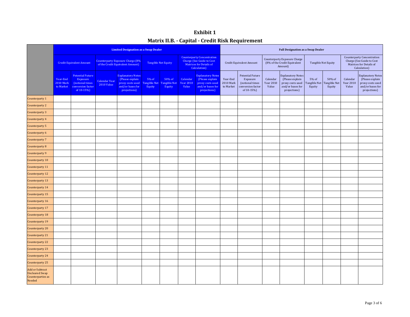| <b>Exhibit 1</b>                                 |
|--------------------------------------------------|
| Matrix II.B. - Capital - Credit Risk Requirement |

|                                                                                |                                      |                                                                                           |                                                                                                           | <b>Limited Designation as a Swap Dealer</b>                                                         |                                 |                                  |                                                                                                                  | <b>Full Designation as a Swap Dealer</b>                                                            |                                    |                                                                                    |                                                                                |                                                                                                     |                                 |                                  |                                                                                                           |                                                                                                     |
|--------------------------------------------------------------------------------|--------------------------------------|-------------------------------------------------------------------------------------------|-----------------------------------------------------------------------------------------------------------|-----------------------------------------------------------------------------------------------------|---------------------------------|----------------------------------|------------------------------------------------------------------------------------------------------------------|-----------------------------------------------------------------------------------------------------|------------------------------------|------------------------------------------------------------------------------------|--------------------------------------------------------------------------------|-----------------------------------------------------------------------------------------------------|---------------------------------|----------------------------------|-----------------------------------------------------------------------------------------------------------|-----------------------------------------------------------------------------------------------------|
|                                                                                | <b>Credit Equivalent Amount</b>      |                                                                                           | <b>Counterparty Exposure Charge (8%</b><br><b>Tangible Net Equity</b><br>of the Credit Equivalent Amount) |                                                                                                     |                                 |                                  | <b>Counterparty Concentration</b><br><b>Charge (See Guide to Cost</b><br>Matrices for Details of<br>Calculation) |                                                                                                     | Credit Equivalent Amount           |                                                                                    | <b>Counterparty Exposure Charge</b><br>(8% of the Credit Equivalent<br>Amount) | Tangible Net Equity                                                                                 |                                 |                                  | <b>Counterparty Concentration</b><br>Charge (See Guide to Cost<br>Matrices for Details of<br>Calculation) |                                                                                                     |
|                                                                                | Year-End<br>$2010$ Mark<br>to Market | <b>Potential Future</b><br>Exposure<br>(notional times<br>conversion factor<br>of 10-15%) | Calendar Year<br><b>2010 Value</b>                                                                        | <b>Explanatory Notes</b><br>(Please explain<br>proxy costs used<br>and/or bases for<br>projections) | 5% of<br>Tangible Net<br>Equity | 50% of<br>Tangible Net<br>Equity | Calendar<br><b>Year 2010</b><br>Value                                                                            | <b>Explanatory Notes</b><br>(Please explain<br>proxy costs used<br>and/or bases for<br>projections) | Year-End<br>2010 Mark<br>to Market | Potential Future<br>Exposure<br>(notional times<br>conversion factor<br>of 10-15%) | Calendar<br><b>Year 2010</b><br>Value                                          | <b>Explanatory Notes</b><br>(Please explain<br>proxy costs used<br>and/or bases for<br>projections) | 5% of<br>Tangible Net<br>Equity | 50% of<br>Tangible Net<br>Equity | Calendar<br><b>Year 2010</b><br>Value                                                                     | <b>Explanatory Notes</b><br>(Please explain<br>proxy costs used<br>and/or bases for<br>projections) |
| Counterparty 1                                                                 |                                      |                                                                                           |                                                                                                           |                                                                                                     |                                 |                                  |                                                                                                                  |                                                                                                     |                                    |                                                                                    |                                                                                |                                                                                                     |                                 |                                  |                                                                                                           |                                                                                                     |
| Counterparty 2                                                                 |                                      |                                                                                           |                                                                                                           |                                                                                                     |                                 |                                  |                                                                                                                  |                                                                                                     |                                    |                                                                                    |                                                                                |                                                                                                     |                                 |                                  |                                                                                                           |                                                                                                     |
| Counterparty 3                                                                 |                                      |                                                                                           |                                                                                                           |                                                                                                     |                                 |                                  |                                                                                                                  |                                                                                                     |                                    |                                                                                    |                                                                                |                                                                                                     |                                 |                                  |                                                                                                           |                                                                                                     |
| Counterparty 4                                                                 |                                      |                                                                                           |                                                                                                           |                                                                                                     |                                 |                                  |                                                                                                                  |                                                                                                     |                                    |                                                                                    |                                                                                |                                                                                                     |                                 |                                  |                                                                                                           |                                                                                                     |
| Counterparty 5                                                                 |                                      |                                                                                           |                                                                                                           |                                                                                                     |                                 |                                  |                                                                                                                  |                                                                                                     |                                    |                                                                                    |                                                                                |                                                                                                     |                                 |                                  |                                                                                                           |                                                                                                     |
| Counterparty 6                                                                 |                                      |                                                                                           |                                                                                                           |                                                                                                     |                                 |                                  |                                                                                                                  |                                                                                                     |                                    |                                                                                    |                                                                                |                                                                                                     |                                 |                                  |                                                                                                           |                                                                                                     |
| Counterparty 7                                                                 |                                      |                                                                                           |                                                                                                           |                                                                                                     |                                 |                                  |                                                                                                                  |                                                                                                     |                                    |                                                                                    |                                                                                |                                                                                                     |                                 |                                  |                                                                                                           |                                                                                                     |
| Counterparty 8                                                                 |                                      |                                                                                           |                                                                                                           |                                                                                                     |                                 |                                  |                                                                                                                  |                                                                                                     |                                    |                                                                                    |                                                                                |                                                                                                     |                                 |                                  |                                                                                                           |                                                                                                     |
| Counterparty 9                                                                 |                                      |                                                                                           |                                                                                                           |                                                                                                     |                                 |                                  |                                                                                                                  |                                                                                                     |                                    |                                                                                    |                                                                                |                                                                                                     |                                 |                                  |                                                                                                           |                                                                                                     |
| Counterparty 10                                                                |                                      |                                                                                           |                                                                                                           |                                                                                                     |                                 |                                  |                                                                                                                  |                                                                                                     |                                    |                                                                                    |                                                                                |                                                                                                     |                                 |                                  |                                                                                                           |                                                                                                     |
| Counterparty 11                                                                |                                      |                                                                                           |                                                                                                           |                                                                                                     |                                 |                                  |                                                                                                                  |                                                                                                     |                                    |                                                                                    |                                                                                |                                                                                                     |                                 |                                  |                                                                                                           |                                                                                                     |
| Counterparty 12                                                                |                                      |                                                                                           |                                                                                                           |                                                                                                     |                                 |                                  |                                                                                                                  |                                                                                                     |                                    |                                                                                    |                                                                                |                                                                                                     |                                 |                                  |                                                                                                           |                                                                                                     |
| Counterparty 13                                                                |                                      |                                                                                           |                                                                                                           |                                                                                                     |                                 |                                  |                                                                                                                  |                                                                                                     |                                    |                                                                                    |                                                                                |                                                                                                     |                                 |                                  |                                                                                                           |                                                                                                     |
| Counterparty 14                                                                |                                      |                                                                                           |                                                                                                           |                                                                                                     |                                 |                                  |                                                                                                                  |                                                                                                     |                                    |                                                                                    |                                                                                |                                                                                                     |                                 |                                  |                                                                                                           |                                                                                                     |
| Counterparty 15                                                                |                                      |                                                                                           |                                                                                                           |                                                                                                     |                                 |                                  |                                                                                                                  |                                                                                                     |                                    |                                                                                    |                                                                                |                                                                                                     |                                 |                                  |                                                                                                           |                                                                                                     |
| Counterparty 16                                                                |                                      |                                                                                           |                                                                                                           |                                                                                                     |                                 |                                  |                                                                                                                  |                                                                                                     |                                    |                                                                                    |                                                                                |                                                                                                     |                                 |                                  |                                                                                                           |                                                                                                     |
| Counterparty 17                                                                |                                      |                                                                                           |                                                                                                           |                                                                                                     |                                 |                                  |                                                                                                                  |                                                                                                     |                                    |                                                                                    |                                                                                |                                                                                                     |                                 |                                  |                                                                                                           |                                                                                                     |
| Counterparty 18                                                                |                                      |                                                                                           |                                                                                                           |                                                                                                     |                                 |                                  |                                                                                                                  |                                                                                                     |                                    |                                                                                    |                                                                                |                                                                                                     |                                 |                                  |                                                                                                           |                                                                                                     |
| Counterparty 19                                                                |                                      |                                                                                           |                                                                                                           |                                                                                                     |                                 |                                  |                                                                                                                  |                                                                                                     |                                    |                                                                                    |                                                                                |                                                                                                     |                                 |                                  |                                                                                                           |                                                                                                     |
| Counterparty 20                                                                |                                      |                                                                                           |                                                                                                           |                                                                                                     |                                 |                                  |                                                                                                                  |                                                                                                     |                                    |                                                                                    |                                                                                |                                                                                                     |                                 |                                  |                                                                                                           |                                                                                                     |
| Counterparty 21                                                                |                                      |                                                                                           |                                                                                                           |                                                                                                     |                                 |                                  |                                                                                                                  |                                                                                                     |                                    |                                                                                    |                                                                                |                                                                                                     |                                 |                                  |                                                                                                           |                                                                                                     |
| Counterparty 22                                                                |                                      |                                                                                           |                                                                                                           |                                                                                                     |                                 |                                  |                                                                                                                  |                                                                                                     |                                    |                                                                                    |                                                                                |                                                                                                     |                                 |                                  |                                                                                                           |                                                                                                     |
| Counterparty 23                                                                |                                      |                                                                                           |                                                                                                           |                                                                                                     |                                 |                                  |                                                                                                                  |                                                                                                     |                                    |                                                                                    |                                                                                |                                                                                                     |                                 |                                  |                                                                                                           |                                                                                                     |
| Counterparty 24                                                                |                                      |                                                                                           |                                                                                                           |                                                                                                     |                                 |                                  |                                                                                                                  |                                                                                                     |                                    |                                                                                    |                                                                                |                                                                                                     |                                 |                                  |                                                                                                           |                                                                                                     |
| Counterparty 25                                                                |                                      |                                                                                           |                                                                                                           |                                                                                                     |                                 |                                  |                                                                                                                  |                                                                                                     |                                    |                                                                                    |                                                                                |                                                                                                     |                                 |                                  |                                                                                                           |                                                                                                     |
| <b>Add or Subtract</b><br><b>Uncleared Swap</b><br>Counterparties as<br>Needed |                                      |                                                                                           |                                                                                                           |                                                                                                     |                                 |                                  |                                                                                                                  |                                                                                                     |                                    |                                                                                    |                                                                                |                                                                                                     |                                 |                                  |                                                                                                           |                                                                                                     |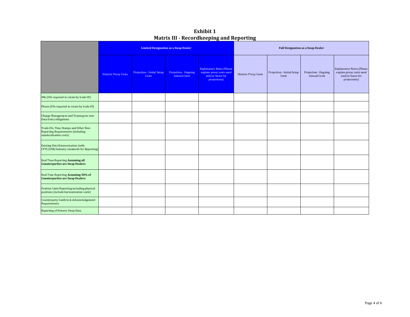| <b>Exhibit 1</b>                                |
|-------------------------------------------------|
| <b>Matrix III - Recordkeeping and Reporting</b> |

|                                                                                                            |                             |                                     | <b>Limited Designation as a Swap Dealer</b> |                                                                                                  | <b>Full Designation as a Swap Dealer</b> |                                     |                                             |                                                                                                   |  |  |  |
|------------------------------------------------------------------------------------------------------------|-----------------------------|-------------------------------------|---------------------------------------------|--------------------------------------------------------------------------------------------------|------------------------------------------|-------------------------------------|---------------------------------------------|---------------------------------------------------------------------------------------------------|--|--|--|
|                                                                                                            | <b>Historic Proxy Costs</b> | Projection - Initial Setup<br>Costs | Projection - Ongoing<br><b>Annual Costs</b> | <b>Explanatory Notes (Please</b><br>explain proxy costs used<br>and/or bases for<br>projections) | <b>Historic Proxy Costs</b>              | Projection - Initial Setup<br>Costs | Projection - Ongoing<br><b>Annual Costs</b> | <b>Explanatory Notes (Please)</b><br>explain proxy costs used<br>and/or bases for<br>projections) |  |  |  |
| IMs (SDs required to retain by trade ID)                                                                   |                             |                                     |                                             |                                                                                                  |                                          |                                     |                                             |                                                                                                   |  |  |  |
| Phone (SDs required to retain by trade ID)                                                                 |                             |                                     |                                             |                                                                                                  |                                          |                                     |                                             |                                                                                                   |  |  |  |
| Change Management and Training for new<br>Data Entry obligations                                           |                             |                                     |                                             |                                                                                                  |                                          |                                     |                                             |                                                                                                   |  |  |  |
| Trade IDs, Time Stamps and Other New<br><b>Reporting Requirements (including</b><br>standardization costs) |                             |                                     |                                             |                                                                                                  |                                          |                                     |                                             |                                                                                                   |  |  |  |
| <b>Existing Data Harmonization (with</b><br>CFTC/SDR/Industry standards for Reporting)                     |                             |                                     |                                             |                                                                                                  |                                          |                                     |                                             |                                                                                                   |  |  |  |
| Real Time Reporting Assuming all<br><b>Counterparties are Swap Dealers</b>                                 |                             |                                     |                                             |                                                                                                  |                                          |                                     |                                             |                                                                                                   |  |  |  |
| Real Time Reporting Assuming 50% of<br><b>Counterparties are Swap Dealers</b>                              |                             |                                     |                                             |                                                                                                  |                                          |                                     |                                             |                                                                                                   |  |  |  |
| Position Limit Reporting including physical<br>positions (include harmonization costs)                     |                             |                                     |                                             |                                                                                                  |                                          |                                     |                                             |                                                                                                   |  |  |  |
| Counterparty Confirm & Acknowledgement<br>Requirements                                                     |                             |                                     |                                             |                                                                                                  |                                          |                                     |                                             |                                                                                                   |  |  |  |
| Reporting of Historic Swap Data                                                                            |                             |                                     |                                             |                                                                                                  |                                          |                                     |                                             |                                                                                                   |  |  |  |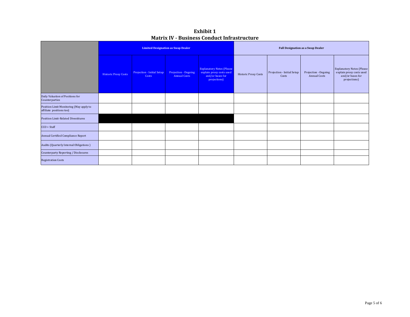| <b>Exhibit 1</b>                                   |
|----------------------------------------------------|
| <b>Matrix IV - Business Conduct Infrastructure</b> |

|                                                                     |                             |                                     | <b>Limited Designation as Swap Dealer</b>   |                                                                                                  | <b>Full Designation as a Swap Dealer</b> |                                     |                                             |                                                                                                  |  |  |
|---------------------------------------------------------------------|-----------------------------|-------------------------------------|---------------------------------------------|--------------------------------------------------------------------------------------------------|------------------------------------------|-------------------------------------|---------------------------------------------|--------------------------------------------------------------------------------------------------|--|--|
|                                                                     | <b>Historic Proxy Costs</b> | Projection - Initial Setup<br>Costs | Projection - Ongoing<br><b>Annual Costs</b> | <b>Explanatory Notes (Please</b><br>explain proxy costs used<br>and/or bases for<br>projections) | <b>Historic Proxy Costs</b>              | Projection - Initial Setup<br>Costs | Projection - Ongoing<br><b>Annual Costs</b> | <b>Explanatory Notes (Please</b><br>explain proxy costs used<br>and/or bases for<br>projections) |  |  |
| Daily Valuation of Positions for<br>Counterparties                  |                             |                                     |                                             |                                                                                                  |                                          |                                     |                                             |                                                                                                  |  |  |
| Position Limit Monitoring (May apply to<br>affiliate positions too) |                             |                                     |                                             |                                                                                                  |                                          |                                     |                                             |                                                                                                  |  |  |
| <b>Position Limit-Related Divestitures</b>                          |                             |                                     |                                             |                                                                                                  |                                          |                                     |                                             |                                                                                                  |  |  |
| $CCO + Staff$                                                       |                             |                                     |                                             |                                                                                                  |                                          |                                     |                                             |                                                                                                  |  |  |
| Annual Certified Compliance Report                                  |                             |                                     |                                             |                                                                                                  |                                          |                                     |                                             |                                                                                                  |  |  |
| Audits (Quarterly Internal Obligations)                             |                             |                                     |                                             |                                                                                                  |                                          |                                     |                                             |                                                                                                  |  |  |
| Counterparty Reporting / Disclosures                                |                             |                                     |                                             |                                                                                                  |                                          |                                     |                                             |                                                                                                  |  |  |
| <b>Registration Costs</b>                                           |                             |                                     |                                             |                                                                                                  |                                          |                                     |                                             |                                                                                                  |  |  |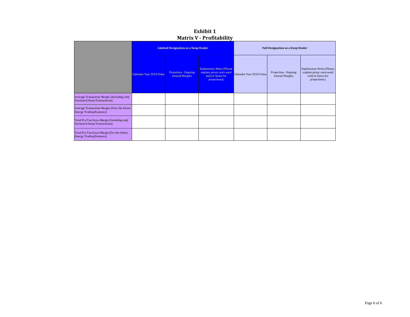| PRULLA V LIURUPHILY                                                                |                                             |                                               |                                                                                                   |                                          |                                               |                                                                                                  |  |  |  |
|------------------------------------------------------------------------------------|---------------------------------------------|-----------------------------------------------|---------------------------------------------------------------------------------------------------|------------------------------------------|-----------------------------------------------|--------------------------------------------------------------------------------------------------|--|--|--|
|                                                                                    | <b>Limited Designation as a Swap Dealer</b> |                                               |                                                                                                   | <b>Full Designation as a Swap Dealer</b> |                                               |                                                                                                  |  |  |  |
|                                                                                    | Calendar Year 2010 Value                    | Projection - Ongoing<br><b>Annual Margins</b> | <b>Explanatory Notes (Please)</b><br>explain proxy costs used<br>and/or bases for<br>projections) | Calendar Year 2010 Value                 | Projection - Ongoing<br><b>Annual Margins</b> | <b>Explanatory Notes (Please</b><br>explain proxy costs used<br>and/or bases for<br>projections) |  |  |  |
| Average Transaction Margin (Including only<br><b>Uncleared Swap Transactions</b> ) |                                             |                                               |                                                                                                   |                                          |                                               |                                                                                                  |  |  |  |
| Average Transaction Margin (Over the Entire<br><b>Energy Trading Business)</b>     |                                             |                                               |                                                                                                   |                                          |                                               |                                                                                                  |  |  |  |
| Total Pre-Tax Gross Margin (Including only<br><b>Uncleared Swap Transactions</b> ) |                                             |                                               |                                                                                                   |                                          |                                               |                                                                                                  |  |  |  |
| Total Pre-Tax Gross Margin (For the Entire<br><b>Energy Trading Business</b> )     |                                             |                                               |                                                                                                   |                                          |                                               |                                                                                                  |  |  |  |

**Exhibit 1Matrix V Profitability**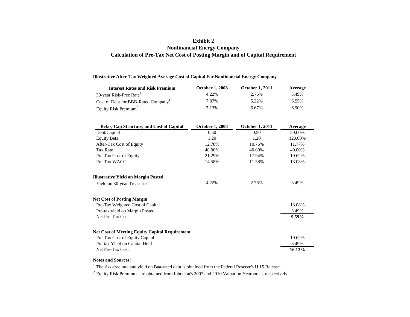### **Exhibit 2 Nonfinancial Energy Company Calculation of Pre-Tax Net Cost of Posting Margin and of Capital Requirement**

#### **Illustrative After-Tax Weighted Average Cost of Capital For Nonfinancial Energy Company**

| <b>Interest Rates and Risk Premium</b>                | <b>October 1, 2008</b> | <b>October 1, 2011</b> | Average  |
|-------------------------------------------------------|------------------------|------------------------|----------|
| 30-year Risk-Free Rate <sup>1</sup>                   | 4.22%                  | 2.76%                  | 3.49%    |
| Cost of Debt for BBB-Rated Company <sup>1</sup>       | 7.87%                  | 5.22%                  | 6.55%    |
| Equity Risk Premium <sup>2</sup>                      | 7.13%                  | 6.67%                  | 6.90%    |
|                                                       |                        |                        |          |
| Betas, Cap Structure, and Cost of Capital             | <b>October 1, 2008</b> | <b>October 1, 2011</b> | Average  |
| Debt/Capital                                          | 0.50                   | 0.50                   | 50.00%   |
| <b>Equity Beta</b>                                    | 1.20                   | 1.20                   | 120.00%  |
| After-Tax Cost of Equity                              | 12.78%                 | 10.76%                 | 11.77%   |
| <b>Tax Rate</b>                                       | 40.00%                 | 40.00%                 | 40.00%   |
| Pre-Tax Cost of Equity                                | 21.29%                 | 17.94%                 | 19.62%   |
| Pre-Tax WACC                                          | 14.58%                 | 11.58%                 | 13.08%   |
| <b>Illustrative Yield on Margin Posted</b>            |                        |                        |          |
| Yield on 30-year Treasuries <sup>1</sup>              | 4.22%                  | 2.76%                  | 3.49%    |
| <b>Net Cost of Posting Margin</b>                     |                        |                        |          |
| Pre-Tax Weighted Cost of Capital                      |                        |                        | 13.08%   |
| Pre-tax yield on Margin Posted                        |                        |                        | 3.49%    |
| Net Pre-Tax Cost                                      |                        |                        | $9.59\%$ |
| <b>Net Cost of Meeting Equity Capital Requirement</b> |                        |                        |          |
| Pre-Tax Cost of Equity Capital                        |                        |                        | 19.62%   |
| Pre-tax Yield on Capital Held                         |                        |                        | 3.49%    |
| Net Pre-Tax Cost                                      |                        |                        | 16.13%   |

#### **Notes and Sources:**

 $1$  The risk-free rate and yield on Baa-rated debt is obtained from the Federal Reserve's H.15 Release.

 $2^{2}$  Equity Risk Premiums are obtained from Ibbotson's 2007 and 2010 Valuation Yearbooks, respectively.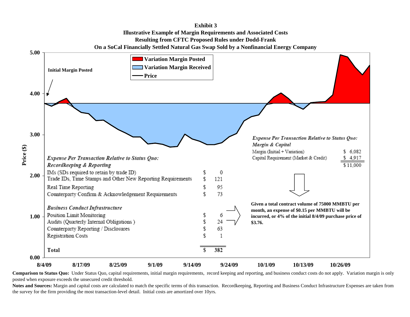

**Comparison to Status Quo:** Under Status Quo, capital requirements, initial margin requirements, record keeping and reporting, and business conduct costs do not apply. Variation margin is only posted when exposure exceeds the unsecured credit threshold.

Notes and Sources: Margin and capital costs are calculated to match the specific terms of this transaction. Recordkeeping, Reporting and Business Conduct Infrastructure Expenses are taken from the survey for the firm providing the most transaction-level detail. Initial costs are amortized over 10yrs.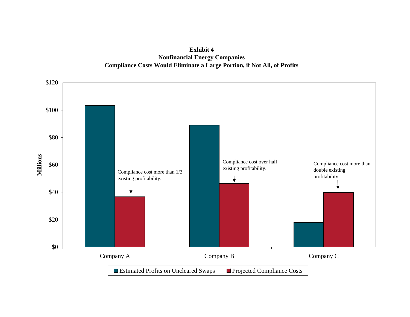**Exhibit 4Nonfinancial Energy Companies Compliance Costs Would Eliminate a Large Portion, if Not All, of Profits**

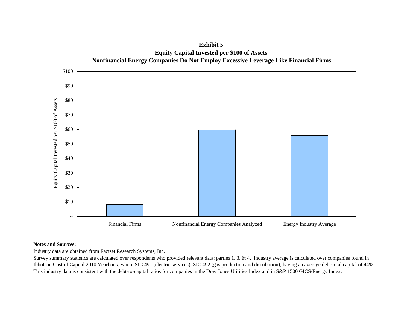

**Exhibit 5Equity Capital Invested per \$100 of Assets**

### **Notes and Sources:**

Industry data are obtained from Factset Research Systems, Inc.

Survey summary statistics are calculated over respondents who provided relevant data: parties 1, 3, & 4. Industry average is calculated over companies found in Ibbotson Cost of Capital 2010 Yearbook, where SIC 491 (electric services), SIC 492 (gas production and distribution), having an average debt:total capital of 44%. This industry data is consistent with the debt-to-capital ratios for companies in the Dow Jones Utilities Index and in S&P 1500 GICS/Energy Index.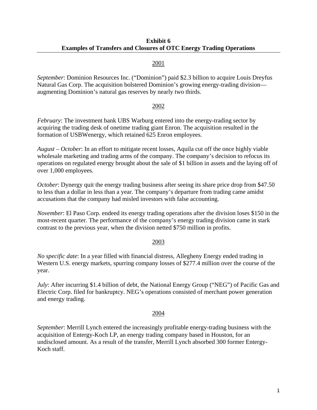## 2001

*September*: Dominion Resources Inc. ("Dominion") paid \$2.3 billion to acquire Louis Dreyfus Natural Gas Corp. The acquisition bolstered Dominion's growing energy-trading division augmenting Dominion's natural gas reserves by nearly two thirds.

## 2002

*February*: The investment bank UBS Warburg entered into the energy-trading sector by acquiring the trading desk of onetime trading giant Enron. The acquisition resulted in the formation of USBWenergy, which retained 625 Enron employees.

*August – October*: In an effort to mitigate recent losses, Aquila cut off the once highly viable wholesale marketing and trading arms of the company. The company's decision to refocus its operations on regulated energy brought about the sale of \$1 billion in assets and the laying off of over 1,000 employees.

*October*: Dynergy quit the energy trading business after seeing its share price drop from \$47.50 to less than a dollar in less than a year. The company's departure from trading came amidst accusations that the company had misled investors with false accounting.

*November*: El Paso Corp. endeed its energy trading operations after the division loses \$150 in the most-recent quarter. The performance of the company's energy trading division came in stark contrast to the previous year, when the division netted \$750 million in profits.

## 2003

*No specific date*: In a year filled with financial distress, Allegheny Energy ended trading in Western U.S. energy markets, spurring company losses of \$277.4 million over the course of the year.

*July*: After incurring \$1.4 billion of debt, the National Energy Group ("NEG") of Pacific Gas and Electric Corp. filed for bankruptcy. NEG's operations consisted of merchant power generation and energy trading.

## 2004

*September*: Merrill Lynch entered the increasingly profitable energy-trading business with the acquisition of Entergy-Koch LP, an energy trading company based in Houston, for an undisclosed amount. As a result of the transfer, Merrill Lynch absorbed 300 former Entergy-Koch staff.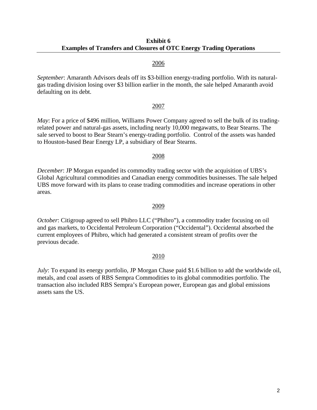### 2006

*September*: Amaranth Advisors deals off its \$3-billion energy-trading portfolio. With its naturalgas trading division losing over \$3 billion earlier in the month, the sale helped Amaranth avoid defaulting on its debt.

### 2007

*May*: For a price of \$496 million, Williams Power Company agreed to sell the bulk of its tradingrelated power and natural-gas assets, including nearly 10,000 megawatts, to Bear Stearns. The sale served to boost to Bear Stearn's energy-trading portfolio. Control of the assets was handed to Houston-based Bear Energy LP, a subsidiary of Bear Stearns.

## 2008

*December*: JP Morgan expanded its commodity trading sector with the acquisition of UBS's Global Agricultural commodities and Canadian energy commodities businesses. The sale helped UBS move forward with its plans to cease trading commodities and increase operations in other areas.

### 2009

*October*: Citigroup agreed to sell Phibro LLC ("Phibro"), a commodity trader focusing on oil and gas markets, to Occidental Petroleum Corporation ("Occidental"). Occidental absorbed the current employees of Phibro, which had generated a consistent stream of profits over the previous decade.

## 2010

*July*: To expand its energy portfolio, JP Morgan Chase paid \$1.6 billion to add the worldwide oil, metals, and coal assets of RBS Sempra Commodities to its global commodities portfolio. The transaction also included RBS Sempra's European power, European gas and global emissions assets sans the US.